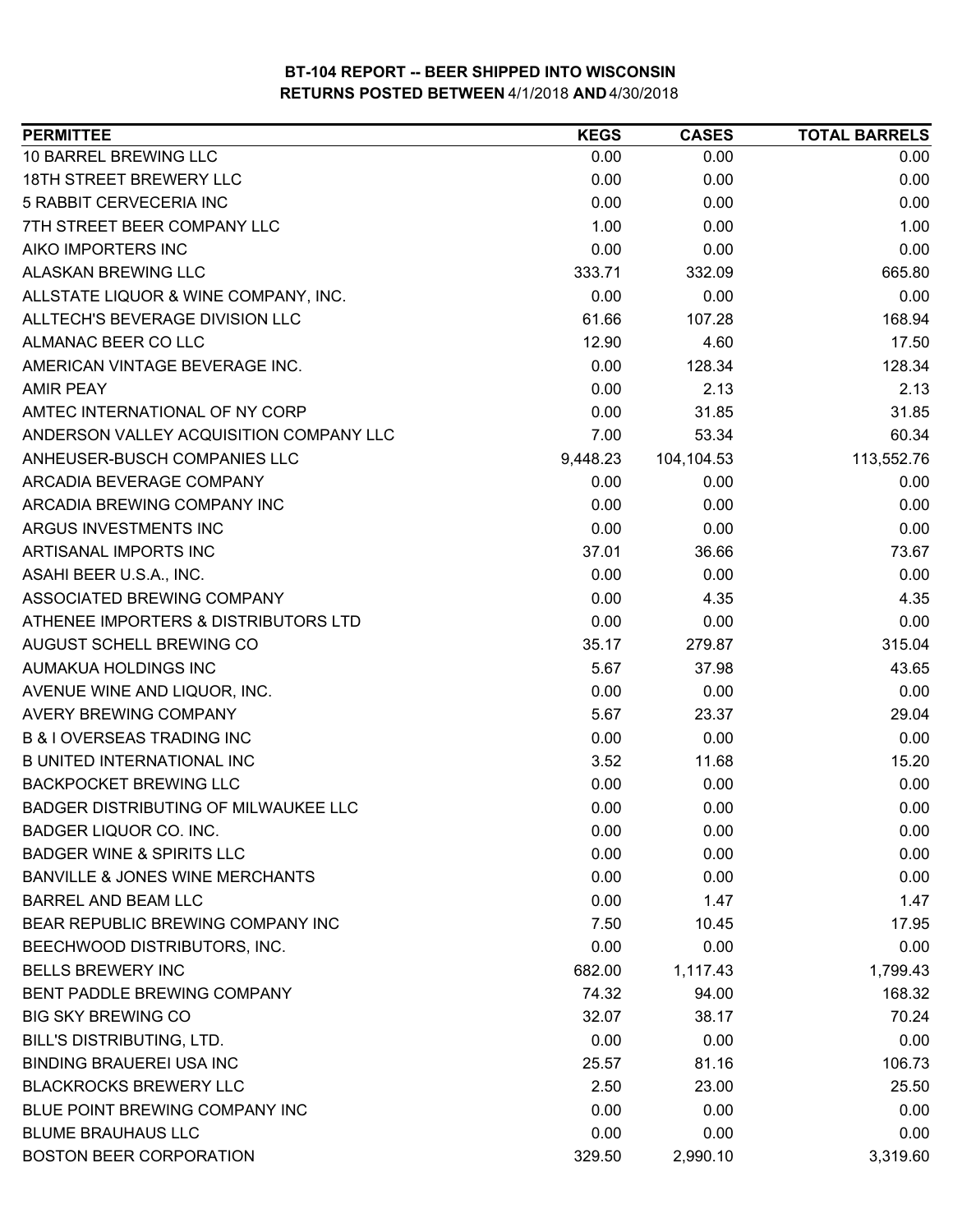| <b>PERMITTEE</b>                           | <b>KEGS</b> | <b>CASES</b> | <b>TOTAL BARRELS</b> |
|--------------------------------------------|-------------|--------------|----------------------|
| 10 BARREL BREWING LLC                      | 0.00        | 0.00         | 0.00                 |
| <b>18TH STREET BREWERY LLC</b>             | 0.00        | 0.00         | 0.00                 |
| 5 RABBIT CERVECERIA INC                    | 0.00        | 0.00         | 0.00                 |
| 7TH STREET BEER COMPANY LLC                | 1.00        | 0.00         | 1.00                 |
| AIKO IMPORTERS INC                         | 0.00        | 0.00         | 0.00                 |
| ALASKAN BREWING LLC                        | 333.71      | 332.09       | 665.80               |
| ALLSTATE LIQUOR & WINE COMPANY, INC.       | 0.00        | 0.00         | 0.00                 |
| ALLTECH'S BEVERAGE DIVISION LLC            | 61.66       | 107.28       | 168.94               |
| ALMANAC BEER CO LLC                        | 12.90       | 4.60         | 17.50                |
| AMERICAN VINTAGE BEVERAGE INC.             | 0.00        | 128.34       | 128.34               |
| <b>AMIR PEAY</b>                           | 0.00        | 2.13         | 2.13                 |
| AMTEC INTERNATIONAL OF NY CORP             | 0.00        | 31.85        | 31.85                |
| ANDERSON VALLEY ACQUISITION COMPANY LLC    | 7.00        | 53.34        | 60.34                |
| ANHEUSER-BUSCH COMPANIES LLC               | 9,448.23    | 104,104.53   | 113,552.76           |
| ARCADIA BEVERAGE COMPANY                   | 0.00        | 0.00         | 0.00                 |
| ARCADIA BREWING COMPANY INC                | 0.00        | 0.00         | 0.00                 |
| ARGUS INVESTMENTS INC                      | 0.00        | 0.00         | 0.00                 |
| ARTISANAL IMPORTS INC                      | 37.01       | 36.66        | 73.67                |
| ASAHI BEER U.S.A., INC.                    | 0.00        | 0.00         | 0.00                 |
| ASSOCIATED BREWING COMPANY                 | 0.00        | 4.35         | 4.35                 |
| ATHENEE IMPORTERS & DISTRIBUTORS LTD       | 0.00        | 0.00         | 0.00                 |
| AUGUST SCHELL BREWING CO                   | 35.17       | 279.87       | 315.04               |
| AUMAKUA HOLDINGS INC                       | 5.67        | 37.98        | 43.65                |
| AVENUE WINE AND LIQUOR, INC.               | 0.00        | 0.00         | 0.00                 |
| <b>AVERY BREWING COMPANY</b>               | 5.67        | 23.37        | 29.04                |
| <b>B &amp; I OVERSEAS TRADING INC</b>      | 0.00        | 0.00         | 0.00                 |
| <b>B UNITED INTERNATIONAL INC</b>          | 3.52        | 11.68        | 15.20                |
| <b>BACKPOCKET BREWING LLC</b>              | 0.00        | 0.00         | 0.00                 |
| BADGER DISTRIBUTING OF MILWAUKEE LLC       | 0.00        | 0.00         | 0.00                 |
| <b>BADGER LIQUOR CO. INC.</b>              | 0.00        | 0.00         | 0.00                 |
| <b>BADGER WINE &amp; SPIRITS LLC</b>       | 0.00        | 0.00         | 0.00                 |
| <b>BANVILLE &amp; JONES WINE MERCHANTS</b> | 0.00        | 0.00         | 0.00                 |
| <b>BARREL AND BEAM LLC</b>                 | 0.00        | 1.47         | 1.47                 |
| BEAR REPUBLIC BREWING COMPANY INC          | 7.50        | 10.45        | 17.95                |
| BEECHWOOD DISTRIBUTORS, INC.               | 0.00        | 0.00         | 0.00                 |
| <b>BELLS BREWERY INC</b>                   | 682.00      | 1,117.43     | 1,799.43             |
| BENT PADDLE BREWING COMPANY                | 74.32       | 94.00        | 168.32               |
| <b>BIG SKY BREWING CO</b>                  | 32.07       | 38.17        | 70.24                |
| <b>BILL'S DISTRIBUTING, LTD.</b>           | 0.00        | 0.00         | 0.00                 |
| <b>BINDING BRAUEREI USA INC</b>            | 25.57       | 81.16        | 106.73               |
| <b>BLACKROCKS BREWERY LLC</b>              | 2.50        | 23.00        | 25.50                |
| BLUE POINT BREWING COMPANY INC             | 0.00        | 0.00         | 0.00                 |
| <b>BLUME BRAUHAUS LLC</b>                  | 0.00        | 0.00         | 0.00                 |
| <b>BOSTON BEER CORPORATION</b>             | 329.50      | 2,990.10     | 3,319.60             |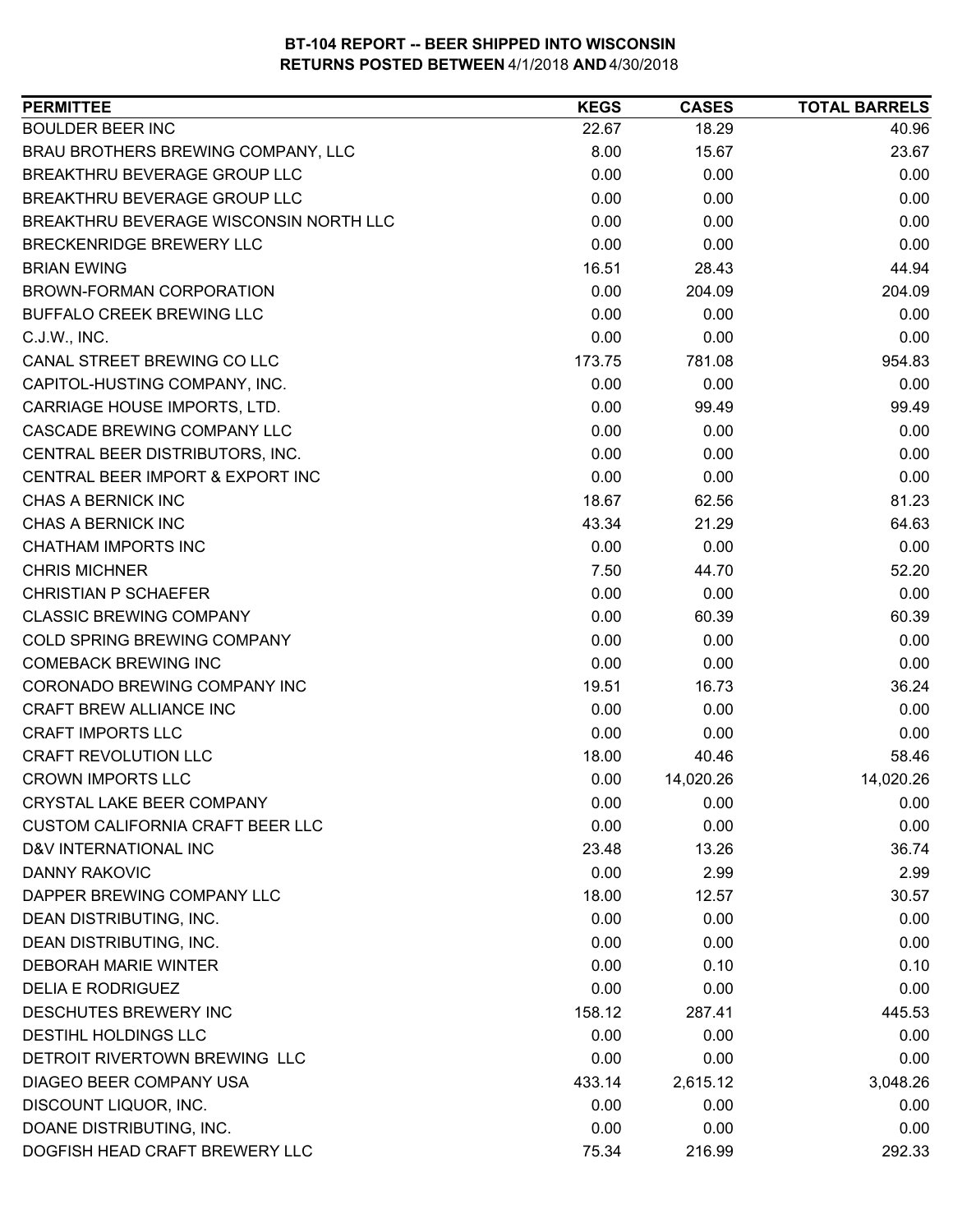| <b>BOULDER BEER INC</b><br>18.29<br>40.96<br>22.67<br>BRAU BROTHERS BREWING COMPANY, LLC<br>8.00<br>15.67<br>23.67<br>BREAKTHRU BEVERAGE GROUP LLC<br>0.00<br>0.00<br>0.00<br>0.00<br>BREAKTHRU BEVERAGE GROUP LLC<br>0.00<br>0.00<br>BREAKTHRU BEVERAGE WISCONSIN NORTH LLC<br>0.00<br>0.00<br>0.00<br>BRECKENRIDGE BREWERY LLC<br>0.00<br>0.00<br>0.00<br>16.51<br>44.94<br><b>BRIAN EWING</b><br>28.43<br>0.00<br>BROWN-FORMAN CORPORATION<br>204.09<br>204.09<br>0.00<br><b>BUFFALO CREEK BREWING LLC</b><br>0.00<br>0.00<br>0.00<br>C.J.W., INC.<br>0.00<br>0.00<br>CANAL STREET BREWING CO LLC<br>173.75<br>781.08<br>954.83<br>CAPITOL-HUSTING COMPANY, INC.<br>0.00<br>0.00<br>0.00<br>CARRIAGE HOUSE IMPORTS, LTD.<br>0.00<br>99.49<br>99.49<br>CASCADE BREWING COMPANY LLC<br>0.00<br>0.00<br>0.00<br>CENTRAL BEER DISTRIBUTORS, INC.<br>0.00<br>0.00<br>0.00<br>0.00<br>CENTRAL BEER IMPORT & EXPORT INC<br>0.00<br>0.00<br>CHAS A BERNICK INC<br>18.67<br>81.23<br>62.56<br>CHAS A BERNICK INC<br>43.34<br>21.29<br>64.63<br><b>CHATHAM IMPORTS INC</b><br>0.00<br>0.00<br>0.00<br><b>CHRIS MICHNER</b><br>7.50<br>44.70<br>52.20<br>0.00<br><b>CHRISTIAN P SCHAEFER</b><br>0.00<br>0.00<br><b>CLASSIC BREWING COMPANY</b><br>0.00<br>60.39<br>60.39<br>COLD SPRING BREWING COMPANY<br>0.00<br>0.00<br>0.00<br><b>COMEBACK BREWING INC</b><br>0.00<br>0.00<br>0.00<br>CORONADO BREWING COMPANY INC<br>19.51<br>16.73<br>36.24<br><b>CRAFT BREW ALLIANCE INC</b><br>0.00<br>0.00<br>0.00<br><b>CRAFT IMPORTS LLC</b><br>0.00<br>0.00<br>0.00<br><b>CRAFT REVOLUTION LLC</b><br>18.00<br>40.46<br>58.46<br><b>CROWN IMPORTS LLC</b><br>0.00<br>14,020.26<br>14,020.26<br><b>CRYSTAL LAKE BEER COMPANY</b><br>0.00<br>0.00<br>0.00<br>0.00<br><b>CUSTOM CALIFORNIA CRAFT BEER LLC</b><br>0.00<br>0.00<br>D&V INTERNATIONAL INC<br>36.74<br>23.48<br>13.26<br>0.00<br>DANNY RAKOVIC<br>2.99<br>2.99<br>18.00<br>DAPPER BREWING COMPANY LLC<br>12.57<br>30.57<br>0.00<br>0.00<br>0.00<br>DEAN DISTRIBUTING, INC.<br>DEAN DISTRIBUTING, INC.<br>0.00<br>0.00<br>0.00<br>0.00<br>0.10<br><b>DEBORAH MARIE WINTER</b><br>0.10<br><b>DELIA E RODRIGUEZ</b><br>0.00<br>0.00<br>0.00<br>DESCHUTES BREWERY INC<br>158.12<br>287.41<br>445.53<br>DESTIHL HOLDINGS LLC<br>0.00<br>0.00<br>0.00<br>DETROIT RIVERTOWN BREWING LLC<br>0.00<br>0.00<br>0.00<br>DIAGEO BEER COMPANY USA<br>433.14<br>2,615.12<br>3,048.26<br>DISCOUNT LIQUOR, INC.<br>0.00<br>0.00<br>0.00<br>DOANE DISTRIBUTING, INC.<br>0.00<br>0.00<br>0.00 | <b>PERMITTEE</b>               | <b>KEGS</b> | <b>CASES</b> | <b>TOTAL BARRELS</b> |
|-------------------------------------------------------------------------------------------------------------------------------------------------------------------------------------------------------------------------------------------------------------------------------------------------------------------------------------------------------------------------------------------------------------------------------------------------------------------------------------------------------------------------------------------------------------------------------------------------------------------------------------------------------------------------------------------------------------------------------------------------------------------------------------------------------------------------------------------------------------------------------------------------------------------------------------------------------------------------------------------------------------------------------------------------------------------------------------------------------------------------------------------------------------------------------------------------------------------------------------------------------------------------------------------------------------------------------------------------------------------------------------------------------------------------------------------------------------------------------------------------------------------------------------------------------------------------------------------------------------------------------------------------------------------------------------------------------------------------------------------------------------------------------------------------------------------------------------------------------------------------------------------------------------------------------------------------------------------------------------------------------------------------------------------------------------------------------------------------------------------------------------------------------------------------------------------------------------------------------------------------------------------------------------------------------------------------------------------------------------------------------------------------------------------------------------------------------------------------------------------------------------------------|--------------------------------|-------------|--------------|----------------------|
|                                                                                                                                                                                                                                                                                                                                                                                                                                                                                                                                                                                                                                                                                                                                                                                                                                                                                                                                                                                                                                                                                                                                                                                                                                                                                                                                                                                                                                                                                                                                                                                                                                                                                                                                                                                                                                                                                                                                                                                                                                                                                                                                                                                                                                                                                                                                                                                                                                                                                                                         |                                |             |              |                      |
|                                                                                                                                                                                                                                                                                                                                                                                                                                                                                                                                                                                                                                                                                                                                                                                                                                                                                                                                                                                                                                                                                                                                                                                                                                                                                                                                                                                                                                                                                                                                                                                                                                                                                                                                                                                                                                                                                                                                                                                                                                                                                                                                                                                                                                                                                                                                                                                                                                                                                                                         |                                |             |              |                      |
|                                                                                                                                                                                                                                                                                                                                                                                                                                                                                                                                                                                                                                                                                                                                                                                                                                                                                                                                                                                                                                                                                                                                                                                                                                                                                                                                                                                                                                                                                                                                                                                                                                                                                                                                                                                                                                                                                                                                                                                                                                                                                                                                                                                                                                                                                                                                                                                                                                                                                                                         |                                |             |              |                      |
|                                                                                                                                                                                                                                                                                                                                                                                                                                                                                                                                                                                                                                                                                                                                                                                                                                                                                                                                                                                                                                                                                                                                                                                                                                                                                                                                                                                                                                                                                                                                                                                                                                                                                                                                                                                                                                                                                                                                                                                                                                                                                                                                                                                                                                                                                                                                                                                                                                                                                                                         |                                |             |              |                      |
|                                                                                                                                                                                                                                                                                                                                                                                                                                                                                                                                                                                                                                                                                                                                                                                                                                                                                                                                                                                                                                                                                                                                                                                                                                                                                                                                                                                                                                                                                                                                                                                                                                                                                                                                                                                                                                                                                                                                                                                                                                                                                                                                                                                                                                                                                                                                                                                                                                                                                                                         |                                |             |              |                      |
|                                                                                                                                                                                                                                                                                                                                                                                                                                                                                                                                                                                                                                                                                                                                                                                                                                                                                                                                                                                                                                                                                                                                                                                                                                                                                                                                                                                                                                                                                                                                                                                                                                                                                                                                                                                                                                                                                                                                                                                                                                                                                                                                                                                                                                                                                                                                                                                                                                                                                                                         |                                |             |              |                      |
|                                                                                                                                                                                                                                                                                                                                                                                                                                                                                                                                                                                                                                                                                                                                                                                                                                                                                                                                                                                                                                                                                                                                                                                                                                                                                                                                                                                                                                                                                                                                                                                                                                                                                                                                                                                                                                                                                                                                                                                                                                                                                                                                                                                                                                                                                                                                                                                                                                                                                                                         |                                |             |              |                      |
|                                                                                                                                                                                                                                                                                                                                                                                                                                                                                                                                                                                                                                                                                                                                                                                                                                                                                                                                                                                                                                                                                                                                                                                                                                                                                                                                                                                                                                                                                                                                                                                                                                                                                                                                                                                                                                                                                                                                                                                                                                                                                                                                                                                                                                                                                                                                                                                                                                                                                                                         |                                |             |              |                      |
|                                                                                                                                                                                                                                                                                                                                                                                                                                                                                                                                                                                                                                                                                                                                                                                                                                                                                                                                                                                                                                                                                                                                                                                                                                                                                                                                                                                                                                                                                                                                                                                                                                                                                                                                                                                                                                                                                                                                                                                                                                                                                                                                                                                                                                                                                                                                                                                                                                                                                                                         |                                |             |              |                      |
|                                                                                                                                                                                                                                                                                                                                                                                                                                                                                                                                                                                                                                                                                                                                                                                                                                                                                                                                                                                                                                                                                                                                                                                                                                                                                                                                                                                                                                                                                                                                                                                                                                                                                                                                                                                                                                                                                                                                                                                                                                                                                                                                                                                                                                                                                                                                                                                                                                                                                                                         |                                |             |              |                      |
|                                                                                                                                                                                                                                                                                                                                                                                                                                                                                                                                                                                                                                                                                                                                                                                                                                                                                                                                                                                                                                                                                                                                                                                                                                                                                                                                                                                                                                                                                                                                                                                                                                                                                                                                                                                                                                                                                                                                                                                                                                                                                                                                                                                                                                                                                                                                                                                                                                                                                                                         |                                |             |              |                      |
|                                                                                                                                                                                                                                                                                                                                                                                                                                                                                                                                                                                                                                                                                                                                                                                                                                                                                                                                                                                                                                                                                                                                                                                                                                                                                                                                                                                                                                                                                                                                                                                                                                                                                                                                                                                                                                                                                                                                                                                                                                                                                                                                                                                                                                                                                                                                                                                                                                                                                                                         |                                |             |              |                      |
|                                                                                                                                                                                                                                                                                                                                                                                                                                                                                                                                                                                                                                                                                                                                                                                                                                                                                                                                                                                                                                                                                                                                                                                                                                                                                                                                                                                                                                                                                                                                                                                                                                                                                                                                                                                                                                                                                                                                                                                                                                                                                                                                                                                                                                                                                                                                                                                                                                                                                                                         |                                |             |              |                      |
|                                                                                                                                                                                                                                                                                                                                                                                                                                                                                                                                                                                                                                                                                                                                                                                                                                                                                                                                                                                                                                                                                                                                                                                                                                                                                                                                                                                                                                                                                                                                                                                                                                                                                                                                                                                                                                                                                                                                                                                                                                                                                                                                                                                                                                                                                                                                                                                                                                                                                                                         |                                |             |              |                      |
|                                                                                                                                                                                                                                                                                                                                                                                                                                                                                                                                                                                                                                                                                                                                                                                                                                                                                                                                                                                                                                                                                                                                                                                                                                                                                                                                                                                                                                                                                                                                                                                                                                                                                                                                                                                                                                                                                                                                                                                                                                                                                                                                                                                                                                                                                                                                                                                                                                                                                                                         |                                |             |              |                      |
|                                                                                                                                                                                                                                                                                                                                                                                                                                                                                                                                                                                                                                                                                                                                                                                                                                                                                                                                                                                                                                                                                                                                                                                                                                                                                                                                                                                                                                                                                                                                                                                                                                                                                                                                                                                                                                                                                                                                                                                                                                                                                                                                                                                                                                                                                                                                                                                                                                                                                                                         |                                |             |              |                      |
|                                                                                                                                                                                                                                                                                                                                                                                                                                                                                                                                                                                                                                                                                                                                                                                                                                                                                                                                                                                                                                                                                                                                                                                                                                                                                                                                                                                                                                                                                                                                                                                                                                                                                                                                                                                                                                                                                                                                                                                                                                                                                                                                                                                                                                                                                                                                                                                                                                                                                                                         |                                |             |              |                      |
|                                                                                                                                                                                                                                                                                                                                                                                                                                                                                                                                                                                                                                                                                                                                                                                                                                                                                                                                                                                                                                                                                                                                                                                                                                                                                                                                                                                                                                                                                                                                                                                                                                                                                                                                                                                                                                                                                                                                                                                                                                                                                                                                                                                                                                                                                                                                                                                                                                                                                                                         |                                |             |              |                      |
|                                                                                                                                                                                                                                                                                                                                                                                                                                                                                                                                                                                                                                                                                                                                                                                                                                                                                                                                                                                                                                                                                                                                                                                                                                                                                                                                                                                                                                                                                                                                                                                                                                                                                                                                                                                                                                                                                                                                                                                                                                                                                                                                                                                                                                                                                                                                                                                                                                                                                                                         |                                |             |              |                      |
|                                                                                                                                                                                                                                                                                                                                                                                                                                                                                                                                                                                                                                                                                                                                                                                                                                                                                                                                                                                                                                                                                                                                                                                                                                                                                                                                                                                                                                                                                                                                                                                                                                                                                                                                                                                                                                                                                                                                                                                                                                                                                                                                                                                                                                                                                                                                                                                                                                                                                                                         |                                |             |              |                      |
|                                                                                                                                                                                                                                                                                                                                                                                                                                                                                                                                                                                                                                                                                                                                                                                                                                                                                                                                                                                                                                                                                                                                                                                                                                                                                                                                                                                                                                                                                                                                                                                                                                                                                                                                                                                                                                                                                                                                                                                                                                                                                                                                                                                                                                                                                                                                                                                                                                                                                                                         |                                |             |              |                      |
|                                                                                                                                                                                                                                                                                                                                                                                                                                                                                                                                                                                                                                                                                                                                                                                                                                                                                                                                                                                                                                                                                                                                                                                                                                                                                                                                                                                                                                                                                                                                                                                                                                                                                                                                                                                                                                                                                                                                                                                                                                                                                                                                                                                                                                                                                                                                                                                                                                                                                                                         |                                |             |              |                      |
|                                                                                                                                                                                                                                                                                                                                                                                                                                                                                                                                                                                                                                                                                                                                                                                                                                                                                                                                                                                                                                                                                                                                                                                                                                                                                                                                                                                                                                                                                                                                                                                                                                                                                                                                                                                                                                                                                                                                                                                                                                                                                                                                                                                                                                                                                                                                                                                                                                                                                                                         |                                |             |              |                      |
|                                                                                                                                                                                                                                                                                                                                                                                                                                                                                                                                                                                                                                                                                                                                                                                                                                                                                                                                                                                                                                                                                                                                                                                                                                                                                                                                                                                                                                                                                                                                                                                                                                                                                                                                                                                                                                                                                                                                                                                                                                                                                                                                                                                                                                                                                                                                                                                                                                                                                                                         |                                |             |              |                      |
|                                                                                                                                                                                                                                                                                                                                                                                                                                                                                                                                                                                                                                                                                                                                                                                                                                                                                                                                                                                                                                                                                                                                                                                                                                                                                                                                                                                                                                                                                                                                                                                                                                                                                                                                                                                                                                                                                                                                                                                                                                                                                                                                                                                                                                                                                                                                                                                                                                                                                                                         |                                |             |              |                      |
|                                                                                                                                                                                                                                                                                                                                                                                                                                                                                                                                                                                                                                                                                                                                                                                                                                                                                                                                                                                                                                                                                                                                                                                                                                                                                                                                                                                                                                                                                                                                                                                                                                                                                                                                                                                                                                                                                                                                                                                                                                                                                                                                                                                                                                                                                                                                                                                                                                                                                                                         |                                |             |              |                      |
|                                                                                                                                                                                                                                                                                                                                                                                                                                                                                                                                                                                                                                                                                                                                                                                                                                                                                                                                                                                                                                                                                                                                                                                                                                                                                                                                                                                                                                                                                                                                                                                                                                                                                                                                                                                                                                                                                                                                                                                                                                                                                                                                                                                                                                                                                                                                                                                                                                                                                                                         |                                |             |              |                      |
|                                                                                                                                                                                                                                                                                                                                                                                                                                                                                                                                                                                                                                                                                                                                                                                                                                                                                                                                                                                                                                                                                                                                                                                                                                                                                                                                                                                                                                                                                                                                                                                                                                                                                                                                                                                                                                                                                                                                                                                                                                                                                                                                                                                                                                                                                                                                                                                                                                                                                                                         |                                |             |              |                      |
|                                                                                                                                                                                                                                                                                                                                                                                                                                                                                                                                                                                                                                                                                                                                                                                                                                                                                                                                                                                                                                                                                                                                                                                                                                                                                                                                                                                                                                                                                                                                                                                                                                                                                                                                                                                                                                                                                                                                                                                                                                                                                                                                                                                                                                                                                                                                                                                                                                                                                                                         |                                |             |              |                      |
|                                                                                                                                                                                                                                                                                                                                                                                                                                                                                                                                                                                                                                                                                                                                                                                                                                                                                                                                                                                                                                                                                                                                                                                                                                                                                                                                                                                                                                                                                                                                                                                                                                                                                                                                                                                                                                                                                                                                                                                                                                                                                                                                                                                                                                                                                                                                                                                                                                                                                                                         |                                |             |              |                      |
|                                                                                                                                                                                                                                                                                                                                                                                                                                                                                                                                                                                                                                                                                                                                                                                                                                                                                                                                                                                                                                                                                                                                                                                                                                                                                                                                                                                                                                                                                                                                                                                                                                                                                                                                                                                                                                                                                                                                                                                                                                                                                                                                                                                                                                                                                                                                                                                                                                                                                                                         |                                |             |              |                      |
|                                                                                                                                                                                                                                                                                                                                                                                                                                                                                                                                                                                                                                                                                                                                                                                                                                                                                                                                                                                                                                                                                                                                                                                                                                                                                                                                                                                                                                                                                                                                                                                                                                                                                                                                                                                                                                                                                                                                                                                                                                                                                                                                                                                                                                                                                                                                                                                                                                                                                                                         |                                |             |              |                      |
|                                                                                                                                                                                                                                                                                                                                                                                                                                                                                                                                                                                                                                                                                                                                                                                                                                                                                                                                                                                                                                                                                                                                                                                                                                                                                                                                                                                                                                                                                                                                                                                                                                                                                                                                                                                                                                                                                                                                                                                                                                                                                                                                                                                                                                                                                                                                                                                                                                                                                                                         |                                |             |              |                      |
|                                                                                                                                                                                                                                                                                                                                                                                                                                                                                                                                                                                                                                                                                                                                                                                                                                                                                                                                                                                                                                                                                                                                                                                                                                                                                                                                                                                                                                                                                                                                                                                                                                                                                                                                                                                                                                                                                                                                                                                                                                                                                                                                                                                                                                                                                                                                                                                                                                                                                                                         |                                |             |              |                      |
|                                                                                                                                                                                                                                                                                                                                                                                                                                                                                                                                                                                                                                                                                                                                                                                                                                                                                                                                                                                                                                                                                                                                                                                                                                                                                                                                                                                                                                                                                                                                                                                                                                                                                                                                                                                                                                                                                                                                                                                                                                                                                                                                                                                                                                                                                                                                                                                                                                                                                                                         |                                |             |              |                      |
|                                                                                                                                                                                                                                                                                                                                                                                                                                                                                                                                                                                                                                                                                                                                                                                                                                                                                                                                                                                                                                                                                                                                                                                                                                                                                                                                                                                                                                                                                                                                                                                                                                                                                                                                                                                                                                                                                                                                                                                                                                                                                                                                                                                                                                                                                                                                                                                                                                                                                                                         |                                |             |              |                      |
|                                                                                                                                                                                                                                                                                                                                                                                                                                                                                                                                                                                                                                                                                                                                                                                                                                                                                                                                                                                                                                                                                                                                                                                                                                                                                                                                                                                                                                                                                                                                                                                                                                                                                                                                                                                                                                                                                                                                                                                                                                                                                                                                                                                                                                                                                                                                                                                                                                                                                                                         |                                |             |              |                      |
|                                                                                                                                                                                                                                                                                                                                                                                                                                                                                                                                                                                                                                                                                                                                                                                                                                                                                                                                                                                                                                                                                                                                                                                                                                                                                                                                                                                                                                                                                                                                                                                                                                                                                                                                                                                                                                                                                                                                                                                                                                                                                                                                                                                                                                                                                                                                                                                                                                                                                                                         |                                |             |              |                      |
|                                                                                                                                                                                                                                                                                                                                                                                                                                                                                                                                                                                                                                                                                                                                                                                                                                                                                                                                                                                                                                                                                                                                                                                                                                                                                                                                                                                                                                                                                                                                                                                                                                                                                                                                                                                                                                                                                                                                                                                                                                                                                                                                                                                                                                                                                                                                                                                                                                                                                                                         |                                |             |              |                      |
|                                                                                                                                                                                                                                                                                                                                                                                                                                                                                                                                                                                                                                                                                                                                                                                                                                                                                                                                                                                                                                                                                                                                                                                                                                                                                                                                                                                                                                                                                                                                                                                                                                                                                                                                                                                                                                                                                                                                                                                                                                                                                                                                                                                                                                                                                                                                                                                                                                                                                                                         |                                |             |              |                      |
|                                                                                                                                                                                                                                                                                                                                                                                                                                                                                                                                                                                                                                                                                                                                                                                                                                                                                                                                                                                                                                                                                                                                                                                                                                                                                                                                                                                                                                                                                                                                                                                                                                                                                                                                                                                                                                                                                                                                                                                                                                                                                                                                                                                                                                                                                                                                                                                                                                                                                                                         |                                |             |              |                      |
|                                                                                                                                                                                                                                                                                                                                                                                                                                                                                                                                                                                                                                                                                                                                                                                                                                                                                                                                                                                                                                                                                                                                                                                                                                                                                                                                                                                                                                                                                                                                                                                                                                                                                                                                                                                                                                                                                                                                                                                                                                                                                                                                                                                                                                                                                                                                                                                                                                                                                                                         |                                |             |              |                      |
|                                                                                                                                                                                                                                                                                                                                                                                                                                                                                                                                                                                                                                                                                                                                                                                                                                                                                                                                                                                                                                                                                                                                                                                                                                                                                                                                                                                                                                                                                                                                                                                                                                                                                                                                                                                                                                                                                                                                                                                                                                                                                                                                                                                                                                                                                                                                                                                                                                                                                                                         |                                |             |              |                      |
|                                                                                                                                                                                                                                                                                                                                                                                                                                                                                                                                                                                                                                                                                                                                                                                                                                                                                                                                                                                                                                                                                                                                                                                                                                                                                                                                                                                                                                                                                                                                                                                                                                                                                                                                                                                                                                                                                                                                                                                                                                                                                                                                                                                                                                                                                                                                                                                                                                                                                                                         |                                |             |              |                      |
|                                                                                                                                                                                                                                                                                                                                                                                                                                                                                                                                                                                                                                                                                                                                                                                                                                                                                                                                                                                                                                                                                                                                                                                                                                                                                                                                                                                                                                                                                                                                                                                                                                                                                                                                                                                                                                                                                                                                                                                                                                                                                                                                                                                                                                                                                                                                                                                                                                                                                                                         | DOGFISH HEAD CRAFT BREWERY LLC | 75.34       | 216.99       | 292.33               |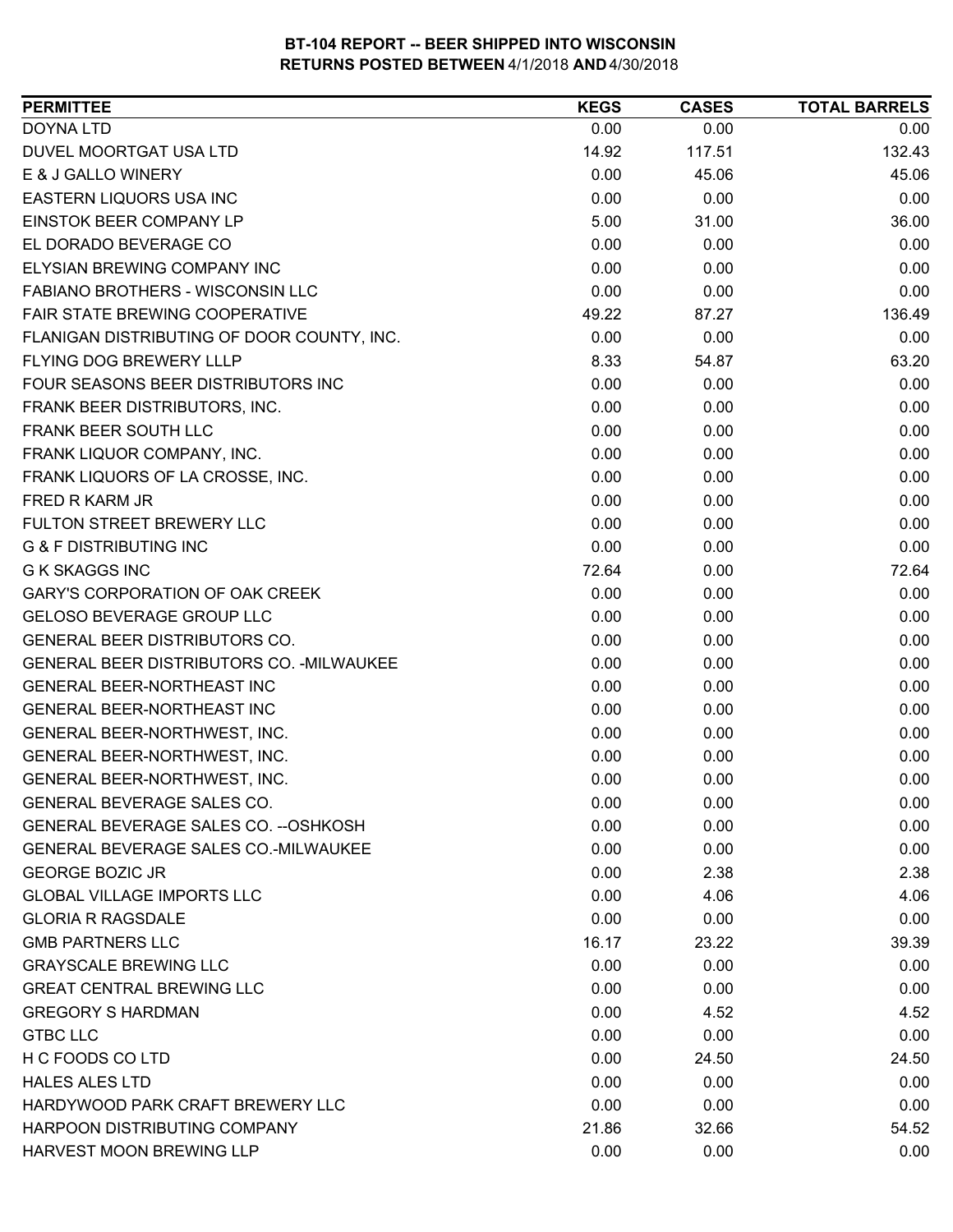| <b>DOYNA LTD</b><br>0.00<br>0.00<br>0.00<br>DUVEL MOORTGAT USA LTD<br>14.92<br>132.43<br>117.51<br>0.00<br>E & J GALLO WINERY<br>45.06<br>45.06<br>0.00<br>0.00<br>0.00<br><b>EASTERN LIQUORS USA INC</b><br>EINSTOK BEER COMPANY LP<br>5.00<br>31.00<br>36.00<br>EL DORADO BEVERAGE CO<br>0.00<br>0.00<br>0.00<br>ELYSIAN BREWING COMPANY INC<br>0.00<br>0.00<br>0.00<br>0.00<br>FABIANO BROTHERS - WISCONSIN LLC<br>0.00<br>0.00<br>FAIR STATE BREWING COOPERATIVE<br>49.22<br>136.49<br>87.27<br>0.00<br>0.00<br>0.00<br>FLANIGAN DISTRIBUTING OF DOOR COUNTY, INC.<br>FLYING DOG BREWERY LLLP<br>8.33<br>63.20<br>54.87<br>FOUR SEASONS BEER DISTRIBUTORS INC<br>0.00<br>0.00<br>0.00<br>0.00<br>FRANK BEER DISTRIBUTORS, INC.<br>0.00<br>0.00<br>FRANK BEER SOUTH LLC<br>0.00<br>0.00<br>0.00<br>FRANK LIQUOR COMPANY, INC.<br>0.00<br>0.00<br>0.00<br>FRANK LIQUORS OF LA CROSSE, INC.<br>0.00<br>0.00<br>0.00<br>0.00<br><b>FRED R KARM JR</b><br>0.00<br>0.00<br>FULTON STREET BREWERY LLC<br>0.00<br>0.00<br>0.00<br><b>G &amp; F DISTRIBUTING INC</b><br>0.00<br>0.00<br>0.00<br><b>G K SKAGGS INC</b><br>72.64<br>0.00<br>72.64<br><b>GARY'S CORPORATION OF OAK CREEK</b><br>0.00<br>0.00<br>0.00<br>GELOSO BEVERAGE GROUP LLC<br>0.00<br>0.00<br>0.00<br>GENERAL BEER DISTRIBUTORS CO.<br>0.00<br>0.00<br>0.00<br><b>GENERAL BEER DISTRIBUTORS CO. - MILWAUKEE</b><br>0.00<br>0.00<br>0.00<br>0.00<br>0.00<br>0.00<br>GENERAL BEER-NORTHEAST INC<br><b>GENERAL BEER-NORTHEAST INC</b><br>0.00<br>0.00<br>0.00<br>0.00<br>0.00<br>0.00<br>GENERAL BEER-NORTHWEST, INC.<br>0.00<br>0.00<br>0.00<br>GENERAL BEER-NORTHWEST, INC.<br>0.00<br>0.00<br>0.00<br>GENERAL BEER-NORTHWEST, INC.<br><b>GENERAL BEVERAGE SALES CO.</b><br>0.00<br>0.00<br>0.00<br>GENERAL BEVERAGE SALES CO. -- OSHKOSH<br>0.00<br>0.00<br>0.00<br>GENERAL BEVERAGE SALES CO.-MILWAUKEE<br>0.00<br>0.00<br>0.00<br><b>GEORGE BOZIC JR</b><br>0.00<br>2.38<br>2.38<br><b>GLOBAL VILLAGE IMPORTS LLC</b><br>0.00<br>4.06<br>4.06<br><b>GLORIA R RAGSDALE</b><br>0.00<br>0.00<br>0.00<br><b>GMB PARTNERS LLC</b><br>16.17<br>23.22<br>39.39<br><b>GRAYSCALE BREWING LLC</b><br>0.00<br>0.00<br>0.00<br><b>GREAT CENTRAL BREWING LLC</b><br>0.00<br>0.00<br>0.00<br>0.00<br><b>GREGORY S HARDMAN</b><br>4.52<br>4.52<br><b>GTBC LLC</b><br>0.00<br>0.00<br>0.00<br>H C FOODS CO LTD<br>0.00<br>24.50<br>24.50<br><b>HALES ALES LTD</b><br>0.00<br>0.00<br>0.00<br>HARDYWOOD PARK CRAFT BREWERY LLC<br>0.00<br>0.00<br>0.00<br>HARPOON DISTRIBUTING COMPANY<br>21.86<br>32.66<br>54.52 | <b>PERMITTEE</b>         | <b>KEGS</b> | <b>CASES</b> | <b>TOTAL BARRELS</b> |
|-------------------------------------------------------------------------------------------------------------------------------------------------------------------------------------------------------------------------------------------------------------------------------------------------------------------------------------------------------------------------------------------------------------------------------------------------------------------------------------------------------------------------------------------------------------------------------------------------------------------------------------------------------------------------------------------------------------------------------------------------------------------------------------------------------------------------------------------------------------------------------------------------------------------------------------------------------------------------------------------------------------------------------------------------------------------------------------------------------------------------------------------------------------------------------------------------------------------------------------------------------------------------------------------------------------------------------------------------------------------------------------------------------------------------------------------------------------------------------------------------------------------------------------------------------------------------------------------------------------------------------------------------------------------------------------------------------------------------------------------------------------------------------------------------------------------------------------------------------------------------------------------------------------------------------------------------------------------------------------------------------------------------------------------------------------------------------------------------------------------------------------------------------------------------------------------------------------------------------------------------------------------------------------------------------------------------------------------------------------------------------------------------------------------------------------------------------------------------------------------------------------------------------------------------------------------|--------------------------|-------------|--------------|----------------------|
|                                                                                                                                                                                                                                                                                                                                                                                                                                                                                                                                                                                                                                                                                                                                                                                                                                                                                                                                                                                                                                                                                                                                                                                                                                                                                                                                                                                                                                                                                                                                                                                                                                                                                                                                                                                                                                                                                                                                                                                                                                                                                                                                                                                                                                                                                                                                                                                                                                                                                                                                                                   |                          |             |              |                      |
|                                                                                                                                                                                                                                                                                                                                                                                                                                                                                                                                                                                                                                                                                                                                                                                                                                                                                                                                                                                                                                                                                                                                                                                                                                                                                                                                                                                                                                                                                                                                                                                                                                                                                                                                                                                                                                                                                                                                                                                                                                                                                                                                                                                                                                                                                                                                                                                                                                                                                                                                                                   |                          |             |              |                      |
|                                                                                                                                                                                                                                                                                                                                                                                                                                                                                                                                                                                                                                                                                                                                                                                                                                                                                                                                                                                                                                                                                                                                                                                                                                                                                                                                                                                                                                                                                                                                                                                                                                                                                                                                                                                                                                                                                                                                                                                                                                                                                                                                                                                                                                                                                                                                                                                                                                                                                                                                                                   |                          |             |              |                      |
|                                                                                                                                                                                                                                                                                                                                                                                                                                                                                                                                                                                                                                                                                                                                                                                                                                                                                                                                                                                                                                                                                                                                                                                                                                                                                                                                                                                                                                                                                                                                                                                                                                                                                                                                                                                                                                                                                                                                                                                                                                                                                                                                                                                                                                                                                                                                                                                                                                                                                                                                                                   |                          |             |              |                      |
|                                                                                                                                                                                                                                                                                                                                                                                                                                                                                                                                                                                                                                                                                                                                                                                                                                                                                                                                                                                                                                                                                                                                                                                                                                                                                                                                                                                                                                                                                                                                                                                                                                                                                                                                                                                                                                                                                                                                                                                                                                                                                                                                                                                                                                                                                                                                                                                                                                                                                                                                                                   |                          |             |              |                      |
|                                                                                                                                                                                                                                                                                                                                                                                                                                                                                                                                                                                                                                                                                                                                                                                                                                                                                                                                                                                                                                                                                                                                                                                                                                                                                                                                                                                                                                                                                                                                                                                                                                                                                                                                                                                                                                                                                                                                                                                                                                                                                                                                                                                                                                                                                                                                                                                                                                                                                                                                                                   |                          |             |              |                      |
|                                                                                                                                                                                                                                                                                                                                                                                                                                                                                                                                                                                                                                                                                                                                                                                                                                                                                                                                                                                                                                                                                                                                                                                                                                                                                                                                                                                                                                                                                                                                                                                                                                                                                                                                                                                                                                                                                                                                                                                                                                                                                                                                                                                                                                                                                                                                                                                                                                                                                                                                                                   |                          |             |              |                      |
|                                                                                                                                                                                                                                                                                                                                                                                                                                                                                                                                                                                                                                                                                                                                                                                                                                                                                                                                                                                                                                                                                                                                                                                                                                                                                                                                                                                                                                                                                                                                                                                                                                                                                                                                                                                                                                                                                                                                                                                                                                                                                                                                                                                                                                                                                                                                                                                                                                                                                                                                                                   |                          |             |              |                      |
|                                                                                                                                                                                                                                                                                                                                                                                                                                                                                                                                                                                                                                                                                                                                                                                                                                                                                                                                                                                                                                                                                                                                                                                                                                                                                                                                                                                                                                                                                                                                                                                                                                                                                                                                                                                                                                                                                                                                                                                                                                                                                                                                                                                                                                                                                                                                                                                                                                                                                                                                                                   |                          |             |              |                      |
|                                                                                                                                                                                                                                                                                                                                                                                                                                                                                                                                                                                                                                                                                                                                                                                                                                                                                                                                                                                                                                                                                                                                                                                                                                                                                                                                                                                                                                                                                                                                                                                                                                                                                                                                                                                                                                                                                                                                                                                                                                                                                                                                                                                                                                                                                                                                                                                                                                                                                                                                                                   |                          |             |              |                      |
|                                                                                                                                                                                                                                                                                                                                                                                                                                                                                                                                                                                                                                                                                                                                                                                                                                                                                                                                                                                                                                                                                                                                                                                                                                                                                                                                                                                                                                                                                                                                                                                                                                                                                                                                                                                                                                                                                                                                                                                                                                                                                                                                                                                                                                                                                                                                                                                                                                                                                                                                                                   |                          |             |              |                      |
|                                                                                                                                                                                                                                                                                                                                                                                                                                                                                                                                                                                                                                                                                                                                                                                                                                                                                                                                                                                                                                                                                                                                                                                                                                                                                                                                                                                                                                                                                                                                                                                                                                                                                                                                                                                                                                                                                                                                                                                                                                                                                                                                                                                                                                                                                                                                                                                                                                                                                                                                                                   |                          |             |              |                      |
|                                                                                                                                                                                                                                                                                                                                                                                                                                                                                                                                                                                                                                                                                                                                                                                                                                                                                                                                                                                                                                                                                                                                                                                                                                                                                                                                                                                                                                                                                                                                                                                                                                                                                                                                                                                                                                                                                                                                                                                                                                                                                                                                                                                                                                                                                                                                                                                                                                                                                                                                                                   |                          |             |              |                      |
|                                                                                                                                                                                                                                                                                                                                                                                                                                                                                                                                                                                                                                                                                                                                                                                                                                                                                                                                                                                                                                                                                                                                                                                                                                                                                                                                                                                                                                                                                                                                                                                                                                                                                                                                                                                                                                                                                                                                                                                                                                                                                                                                                                                                                                                                                                                                                                                                                                                                                                                                                                   |                          |             |              |                      |
|                                                                                                                                                                                                                                                                                                                                                                                                                                                                                                                                                                                                                                                                                                                                                                                                                                                                                                                                                                                                                                                                                                                                                                                                                                                                                                                                                                                                                                                                                                                                                                                                                                                                                                                                                                                                                                                                                                                                                                                                                                                                                                                                                                                                                                                                                                                                                                                                                                                                                                                                                                   |                          |             |              |                      |
|                                                                                                                                                                                                                                                                                                                                                                                                                                                                                                                                                                                                                                                                                                                                                                                                                                                                                                                                                                                                                                                                                                                                                                                                                                                                                                                                                                                                                                                                                                                                                                                                                                                                                                                                                                                                                                                                                                                                                                                                                                                                                                                                                                                                                                                                                                                                                                                                                                                                                                                                                                   |                          |             |              |                      |
|                                                                                                                                                                                                                                                                                                                                                                                                                                                                                                                                                                                                                                                                                                                                                                                                                                                                                                                                                                                                                                                                                                                                                                                                                                                                                                                                                                                                                                                                                                                                                                                                                                                                                                                                                                                                                                                                                                                                                                                                                                                                                                                                                                                                                                                                                                                                                                                                                                                                                                                                                                   |                          |             |              |                      |
|                                                                                                                                                                                                                                                                                                                                                                                                                                                                                                                                                                                                                                                                                                                                                                                                                                                                                                                                                                                                                                                                                                                                                                                                                                                                                                                                                                                                                                                                                                                                                                                                                                                                                                                                                                                                                                                                                                                                                                                                                                                                                                                                                                                                                                                                                                                                                                                                                                                                                                                                                                   |                          |             |              |                      |
|                                                                                                                                                                                                                                                                                                                                                                                                                                                                                                                                                                                                                                                                                                                                                                                                                                                                                                                                                                                                                                                                                                                                                                                                                                                                                                                                                                                                                                                                                                                                                                                                                                                                                                                                                                                                                                                                                                                                                                                                                                                                                                                                                                                                                                                                                                                                                                                                                                                                                                                                                                   |                          |             |              |                      |
|                                                                                                                                                                                                                                                                                                                                                                                                                                                                                                                                                                                                                                                                                                                                                                                                                                                                                                                                                                                                                                                                                                                                                                                                                                                                                                                                                                                                                                                                                                                                                                                                                                                                                                                                                                                                                                                                                                                                                                                                                                                                                                                                                                                                                                                                                                                                                                                                                                                                                                                                                                   |                          |             |              |                      |
|                                                                                                                                                                                                                                                                                                                                                                                                                                                                                                                                                                                                                                                                                                                                                                                                                                                                                                                                                                                                                                                                                                                                                                                                                                                                                                                                                                                                                                                                                                                                                                                                                                                                                                                                                                                                                                                                                                                                                                                                                                                                                                                                                                                                                                                                                                                                                                                                                                                                                                                                                                   |                          |             |              |                      |
|                                                                                                                                                                                                                                                                                                                                                                                                                                                                                                                                                                                                                                                                                                                                                                                                                                                                                                                                                                                                                                                                                                                                                                                                                                                                                                                                                                                                                                                                                                                                                                                                                                                                                                                                                                                                                                                                                                                                                                                                                                                                                                                                                                                                                                                                                                                                                                                                                                                                                                                                                                   |                          |             |              |                      |
|                                                                                                                                                                                                                                                                                                                                                                                                                                                                                                                                                                                                                                                                                                                                                                                                                                                                                                                                                                                                                                                                                                                                                                                                                                                                                                                                                                                                                                                                                                                                                                                                                                                                                                                                                                                                                                                                                                                                                                                                                                                                                                                                                                                                                                                                                                                                                                                                                                                                                                                                                                   |                          |             |              |                      |
|                                                                                                                                                                                                                                                                                                                                                                                                                                                                                                                                                                                                                                                                                                                                                                                                                                                                                                                                                                                                                                                                                                                                                                                                                                                                                                                                                                                                                                                                                                                                                                                                                                                                                                                                                                                                                                                                                                                                                                                                                                                                                                                                                                                                                                                                                                                                                                                                                                                                                                                                                                   |                          |             |              |                      |
|                                                                                                                                                                                                                                                                                                                                                                                                                                                                                                                                                                                                                                                                                                                                                                                                                                                                                                                                                                                                                                                                                                                                                                                                                                                                                                                                                                                                                                                                                                                                                                                                                                                                                                                                                                                                                                                                                                                                                                                                                                                                                                                                                                                                                                                                                                                                                                                                                                                                                                                                                                   |                          |             |              |                      |
|                                                                                                                                                                                                                                                                                                                                                                                                                                                                                                                                                                                                                                                                                                                                                                                                                                                                                                                                                                                                                                                                                                                                                                                                                                                                                                                                                                                                                                                                                                                                                                                                                                                                                                                                                                                                                                                                                                                                                                                                                                                                                                                                                                                                                                                                                                                                                                                                                                                                                                                                                                   |                          |             |              |                      |
|                                                                                                                                                                                                                                                                                                                                                                                                                                                                                                                                                                                                                                                                                                                                                                                                                                                                                                                                                                                                                                                                                                                                                                                                                                                                                                                                                                                                                                                                                                                                                                                                                                                                                                                                                                                                                                                                                                                                                                                                                                                                                                                                                                                                                                                                                                                                                                                                                                                                                                                                                                   |                          |             |              |                      |
|                                                                                                                                                                                                                                                                                                                                                                                                                                                                                                                                                                                                                                                                                                                                                                                                                                                                                                                                                                                                                                                                                                                                                                                                                                                                                                                                                                                                                                                                                                                                                                                                                                                                                                                                                                                                                                                                                                                                                                                                                                                                                                                                                                                                                                                                                                                                                                                                                                                                                                                                                                   |                          |             |              |                      |
|                                                                                                                                                                                                                                                                                                                                                                                                                                                                                                                                                                                                                                                                                                                                                                                                                                                                                                                                                                                                                                                                                                                                                                                                                                                                                                                                                                                                                                                                                                                                                                                                                                                                                                                                                                                                                                                                                                                                                                                                                                                                                                                                                                                                                                                                                                                                                                                                                                                                                                                                                                   |                          |             |              |                      |
|                                                                                                                                                                                                                                                                                                                                                                                                                                                                                                                                                                                                                                                                                                                                                                                                                                                                                                                                                                                                                                                                                                                                                                                                                                                                                                                                                                                                                                                                                                                                                                                                                                                                                                                                                                                                                                                                                                                                                                                                                                                                                                                                                                                                                                                                                                                                                                                                                                                                                                                                                                   |                          |             |              |                      |
|                                                                                                                                                                                                                                                                                                                                                                                                                                                                                                                                                                                                                                                                                                                                                                                                                                                                                                                                                                                                                                                                                                                                                                                                                                                                                                                                                                                                                                                                                                                                                                                                                                                                                                                                                                                                                                                                                                                                                                                                                                                                                                                                                                                                                                                                                                                                                                                                                                                                                                                                                                   |                          |             |              |                      |
|                                                                                                                                                                                                                                                                                                                                                                                                                                                                                                                                                                                                                                                                                                                                                                                                                                                                                                                                                                                                                                                                                                                                                                                                                                                                                                                                                                                                                                                                                                                                                                                                                                                                                                                                                                                                                                                                                                                                                                                                                                                                                                                                                                                                                                                                                                                                                                                                                                                                                                                                                                   |                          |             |              |                      |
|                                                                                                                                                                                                                                                                                                                                                                                                                                                                                                                                                                                                                                                                                                                                                                                                                                                                                                                                                                                                                                                                                                                                                                                                                                                                                                                                                                                                                                                                                                                                                                                                                                                                                                                                                                                                                                                                                                                                                                                                                                                                                                                                                                                                                                                                                                                                                                                                                                                                                                                                                                   |                          |             |              |                      |
|                                                                                                                                                                                                                                                                                                                                                                                                                                                                                                                                                                                                                                                                                                                                                                                                                                                                                                                                                                                                                                                                                                                                                                                                                                                                                                                                                                                                                                                                                                                                                                                                                                                                                                                                                                                                                                                                                                                                                                                                                                                                                                                                                                                                                                                                                                                                                                                                                                                                                                                                                                   |                          |             |              |                      |
|                                                                                                                                                                                                                                                                                                                                                                                                                                                                                                                                                                                                                                                                                                                                                                                                                                                                                                                                                                                                                                                                                                                                                                                                                                                                                                                                                                                                                                                                                                                                                                                                                                                                                                                                                                                                                                                                                                                                                                                                                                                                                                                                                                                                                                                                                                                                                                                                                                                                                                                                                                   |                          |             |              |                      |
|                                                                                                                                                                                                                                                                                                                                                                                                                                                                                                                                                                                                                                                                                                                                                                                                                                                                                                                                                                                                                                                                                                                                                                                                                                                                                                                                                                                                                                                                                                                                                                                                                                                                                                                                                                                                                                                                                                                                                                                                                                                                                                                                                                                                                                                                                                                                                                                                                                                                                                                                                                   |                          |             |              |                      |
|                                                                                                                                                                                                                                                                                                                                                                                                                                                                                                                                                                                                                                                                                                                                                                                                                                                                                                                                                                                                                                                                                                                                                                                                                                                                                                                                                                                                                                                                                                                                                                                                                                                                                                                                                                                                                                                                                                                                                                                                                                                                                                                                                                                                                                                                                                                                                                                                                                                                                                                                                                   |                          |             |              |                      |
|                                                                                                                                                                                                                                                                                                                                                                                                                                                                                                                                                                                                                                                                                                                                                                                                                                                                                                                                                                                                                                                                                                                                                                                                                                                                                                                                                                                                                                                                                                                                                                                                                                                                                                                                                                                                                                                                                                                                                                                                                                                                                                                                                                                                                                                                                                                                                                                                                                                                                                                                                                   |                          |             |              |                      |
|                                                                                                                                                                                                                                                                                                                                                                                                                                                                                                                                                                                                                                                                                                                                                                                                                                                                                                                                                                                                                                                                                                                                                                                                                                                                                                                                                                                                                                                                                                                                                                                                                                                                                                                                                                                                                                                                                                                                                                                                                                                                                                                                                                                                                                                                                                                                                                                                                                                                                                                                                                   |                          |             |              |                      |
|                                                                                                                                                                                                                                                                                                                                                                                                                                                                                                                                                                                                                                                                                                                                                                                                                                                                                                                                                                                                                                                                                                                                                                                                                                                                                                                                                                                                                                                                                                                                                                                                                                                                                                                                                                                                                                                                                                                                                                                                                                                                                                                                                                                                                                                                                                                                                                                                                                                                                                                                                                   |                          |             |              |                      |
|                                                                                                                                                                                                                                                                                                                                                                                                                                                                                                                                                                                                                                                                                                                                                                                                                                                                                                                                                                                                                                                                                                                                                                                                                                                                                                                                                                                                                                                                                                                                                                                                                                                                                                                                                                                                                                                                                                                                                                                                                                                                                                                                                                                                                                                                                                                                                                                                                                                                                                                                                                   |                          |             |              |                      |
|                                                                                                                                                                                                                                                                                                                                                                                                                                                                                                                                                                                                                                                                                                                                                                                                                                                                                                                                                                                                                                                                                                                                                                                                                                                                                                                                                                                                                                                                                                                                                                                                                                                                                                                                                                                                                                                                                                                                                                                                                                                                                                                                                                                                                                                                                                                                                                                                                                                                                                                                                                   |                          |             |              |                      |
|                                                                                                                                                                                                                                                                                                                                                                                                                                                                                                                                                                                                                                                                                                                                                                                                                                                                                                                                                                                                                                                                                                                                                                                                                                                                                                                                                                                                                                                                                                                                                                                                                                                                                                                                                                                                                                                                                                                                                                                                                                                                                                                                                                                                                                                                                                                                                                                                                                                                                                                                                                   |                          |             |              |                      |
|                                                                                                                                                                                                                                                                                                                                                                                                                                                                                                                                                                                                                                                                                                                                                                                                                                                                                                                                                                                                                                                                                                                                                                                                                                                                                                                                                                                                                                                                                                                                                                                                                                                                                                                                                                                                                                                                                                                                                                                                                                                                                                                                                                                                                                                                                                                                                                                                                                                                                                                                                                   |                          |             |              |                      |
|                                                                                                                                                                                                                                                                                                                                                                                                                                                                                                                                                                                                                                                                                                                                                                                                                                                                                                                                                                                                                                                                                                                                                                                                                                                                                                                                                                                                                                                                                                                                                                                                                                                                                                                                                                                                                                                                                                                                                                                                                                                                                                                                                                                                                                                                                                                                                                                                                                                                                                                                                                   | HARVEST MOON BREWING LLP | 0.00        | 0.00         | 0.00                 |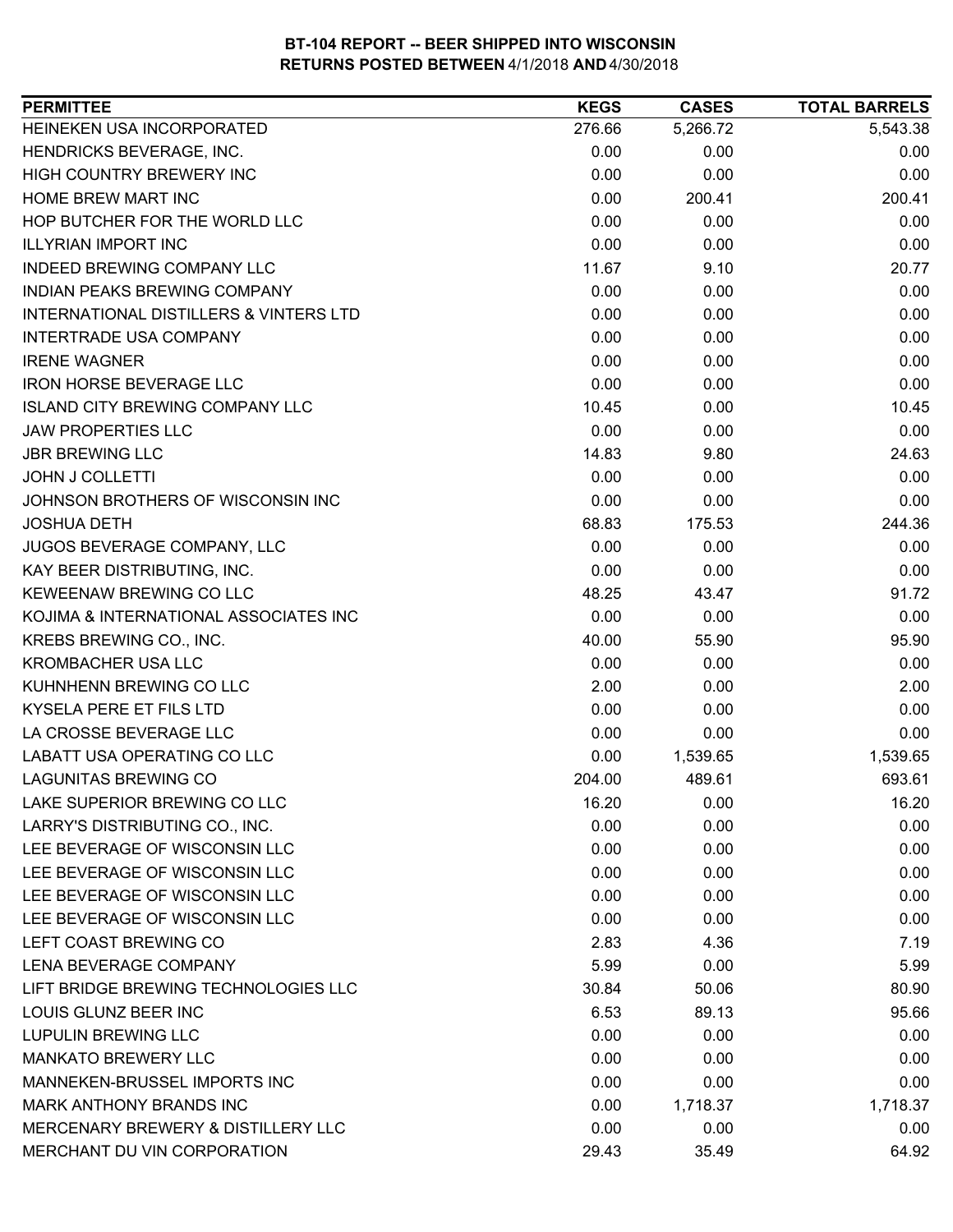| <b>PERMITTEE</b>                       | <b>KEGS</b> | <b>CASES</b> | <b>TOTAL BARRELS</b> |
|----------------------------------------|-------------|--------------|----------------------|
| HEINEKEN USA INCORPORATED              | 276.66      | 5,266.72     | 5,543.38             |
| HENDRICKS BEVERAGE, INC.               | 0.00        | 0.00         | 0.00                 |
| <b>HIGH COUNTRY BREWERY INC</b>        | 0.00        | 0.00         | 0.00                 |
| HOME BREW MART INC                     | 0.00        | 200.41       | 200.41               |
| HOP BUTCHER FOR THE WORLD LLC          | 0.00        | 0.00         | 0.00                 |
| <b>ILLYRIAN IMPORT INC</b>             | 0.00        | 0.00         | 0.00                 |
| <b>INDEED BREWING COMPANY LLC</b>      | 11.67       | 9.10         | 20.77                |
| INDIAN PEAKS BREWING COMPANY           | 0.00        | 0.00         | 0.00                 |
| INTERNATIONAL DISTILLERS & VINTERS LTD | 0.00        | 0.00         | 0.00                 |
| INTERTRADE USA COMPANY                 | 0.00        | 0.00         | 0.00                 |
| <b>IRENE WAGNER</b>                    | 0.00        | 0.00         | 0.00                 |
| <b>IRON HORSE BEVERAGE LLC</b>         | 0.00        | 0.00         | 0.00                 |
| <b>ISLAND CITY BREWING COMPANY LLC</b> | 10.45       | 0.00         | 10.45                |
| <b>JAW PROPERTIES LLC</b>              | 0.00        | 0.00         | 0.00                 |
| <b>JBR BREWING LLC</b>                 | 14.83       | 9.80         | 24.63                |
| <b>JOHN J COLLETTI</b>                 | 0.00        | 0.00         | 0.00                 |
| JOHNSON BROTHERS OF WISCONSIN INC      | 0.00        | 0.00         | 0.00                 |
| <b>JOSHUA DETH</b>                     | 68.83       | 175.53       | 244.36               |
| JUGOS BEVERAGE COMPANY, LLC            | 0.00        | 0.00         | 0.00                 |
| KAY BEER DISTRIBUTING, INC.            | 0.00        | 0.00         | 0.00                 |
| KEWEENAW BREWING CO LLC                | 48.25       | 43.47        | 91.72                |
| KOJIMA & INTERNATIONAL ASSOCIATES INC  | 0.00        | 0.00         | 0.00                 |
| KREBS BREWING CO., INC.                | 40.00       | 55.90        | 95.90                |
| <b>KROMBACHER USA LLC</b>              | 0.00        | 0.00         | 0.00                 |
| KUHNHENN BREWING CO LLC                | 2.00        | 0.00         | 2.00                 |
| KYSELA PERE ET FILS LTD                | 0.00        | 0.00         | 0.00                 |
| LA CROSSE BEVERAGE LLC                 | 0.00        | 0.00         | 0.00                 |
| LABATT USA OPERATING CO LLC            | 0.00        | 1,539.65     | 1,539.65             |
| <b>LAGUNITAS BREWING CO</b>            | 204.00      | 489.61       | 693.61               |
| LAKE SUPERIOR BREWING CO LLC           | 16.20       | 0.00         | 16.20                |
| LARRY'S DISTRIBUTING CO., INC.         | 0.00        | 0.00         | 0.00                 |
| LEE BEVERAGE OF WISCONSIN LLC          | 0.00        | 0.00         | 0.00                 |
| LEE BEVERAGE OF WISCONSIN LLC          | 0.00        | 0.00         | 0.00                 |
| LEE BEVERAGE OF WISCONSIN LLC          | 0.00        | 0.00         | 0.00                 |
| LEE BEVERAGE OF WISCONSIN LLC          | 0.00        | 0.00         | 0.00                 |
| LEFT COAST BREWING CO                  | 2.83        | 4.36         | 7.19                 |
| LENA BEVERAGE COMPANY                  | 5.99        | 0.00         | 5.99                 |
| LIFT BRIDGE BREWING TECHNOLOGIES LLC   | 30.84       | 50.06        | 80.90                |
| LOUIS GLUNZ BEER INC                   | 6.53        | 89.13        | 95.66                |
| LUPULIN BREWING LLC                    | 0.00        | 0.00         | 0.00                 |
| <b>MANKATO BREWERY LLC</b>             | 0.00        | 0.00         | 0.00                 |
| MANNEKEN-BRUSSEL IMPORTS INC           | 0.00        | 0.00         | 0.00                 |
| MARK ANTHONY BRANDS INC                | 0.00        | 1,718.37     | 1,718.37             |
| MERCENARY BREWERY & DISTILLERY LLC     | 0.00        | 0.00         | 0.00                 |
| MERCHANT DU VIN CORPORATION            | 29.43       | 35.49        | 64.92                |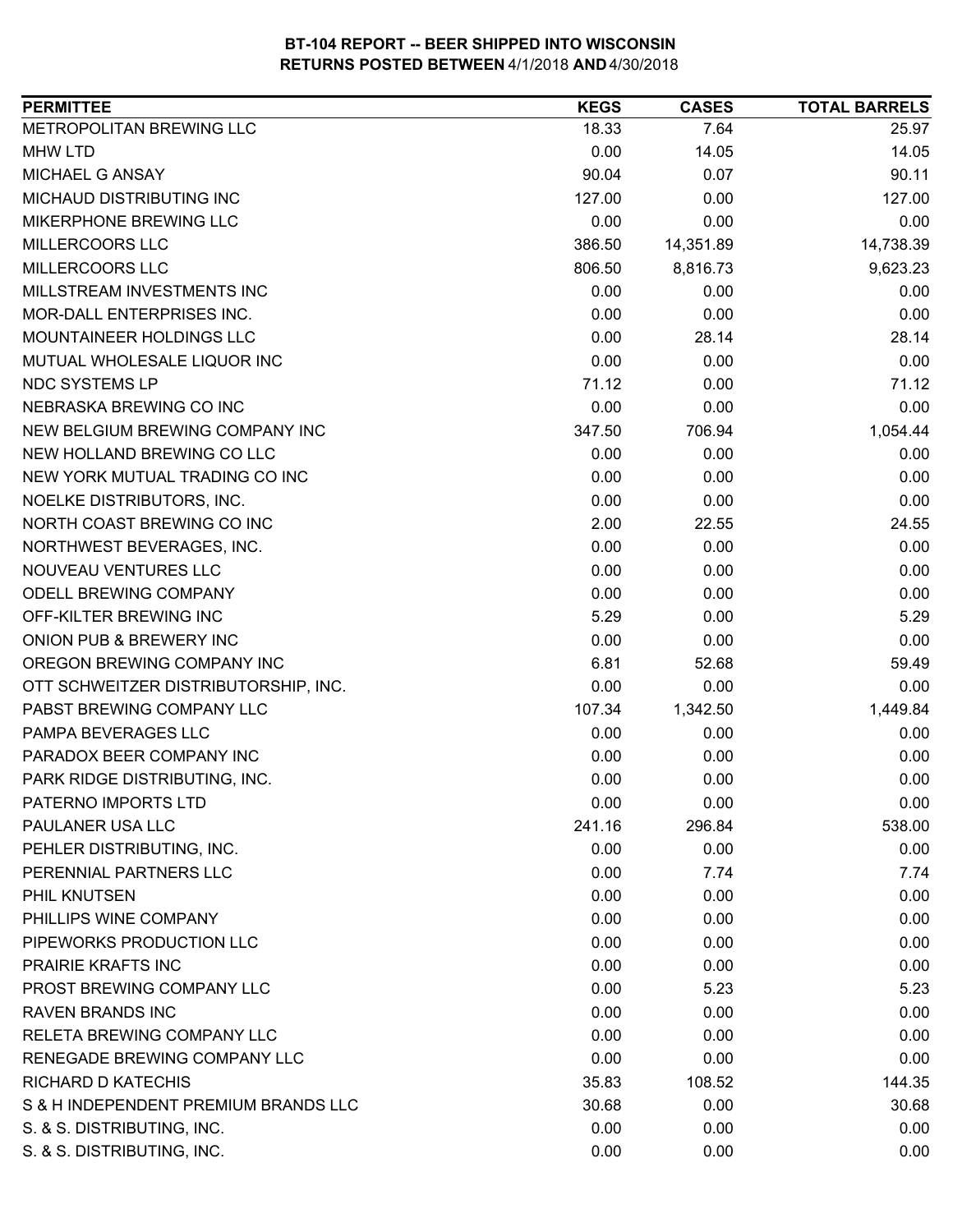| <b>PERMITTEE</b>                     | <b>KEGS</b> | <b>CASES</b> | <b>TOTAL BARRELS</b> |
|--------------------------------------|-------------|--------------|----------------------|
| METROPOLITAN BREWING LLC             | 18.33       | 7.64         | 25.97                |
| <b>MHW LTD</b>                       | 0.00        | 14.05        | 14.05                |
| MICHAEL G ANSAY                      | 90.04       | 0.07         | 90.11                |
| MICHAUD DISTRIBUTING INC             | 127.00      | 0.00         | 127.00               |
| MIKERPHONE BREWING LLC               | 0.00        | 0.00         | 0.00                 |
| MILLERCOORS LLC                      | 386.50      | 14,351.89    | 14,738.39            |
| MILLERCOORS LLC                      | 806.50      | 8,816.73     | 9,623.23             |
| MILLSTREAM INVESTMENTS INC           | 0.00        | 0.00         | 0.00                 |
| <b>MOR-DALL ENTERPRISES INC.</b>     | 0.00        | 0.00         | 0.00                 |
| MOUNTAINEER HOLDINGS LLC             | 0.00        | 28.14        | 28.14                |
| MUTUAL WHOLESALE LIQUOR INC          | 0.00        | 0.00         | 0.00                 |
| NDC SYSTEMS LP                       | 71.12       | 0.00         | 71.12                |
| NEBRASKA BREWING CO INC              | 0.00        | 0.00         | 0.00                 |
| NEW BELGIUM BREWING COMPANY INC      | 347.50      | 706.94       | 1,054.44             |
| NEW HOLLAND BREWING CO LLC           | 0.00        | 0.00         | 0.00                 |
| NEW YORK MUTUAL TRADING CO INC       | 0.00        | 0.00         | 0.00                 |
| NOELKE DISTRIBUTORS, INC.            | 0.00        | 0.00         | 0.00                 |
| NORTH COAST BREWING CO INC           | 2.00        | 22.55        | 24.55                |
| NORTHWEST BEVERAGES, INC.            | 0.00        | 0.00         | 0.00                 |
| NOUVEAU VENTURES LLC                 | 0.00        | 0.00         | 0.00                 |
| ODELL BREWING COMPANY                | 0.00        | 0.00         | 0.00                 |
| OFF-KILTER BREWING INC               | 5.29        | 0.00         | 5.29                 |
| ONION PUB & BREWERY INC              | 0.00        | 0.00         | 0.00                 |
| OREGON BREWING COMPANY INC           | 6.81        | 52.68        | 59.49                |
| OTT SCHWEITZER DISTRIBUTORSHIP, INC. | 0.00        | 0.00         | 0.00                 |
| PABST BREWING COMPANY LLC            | 107.34      | 1,342.50     | 1,449.84             |
| PAMPA BEVERAGES LLC                  | 0.00        | 0.00         | 0.00                 |
| PARADOX BEER COMPANY INC             | 0.00        | 0.00         | 0.00                 |
| PARK RIDGE DISTRIBUTING, INC.        | 0.00        | 0.00         | 0.00                 |
| PATERNO IMPORTS LTD                  | 0.00        | 0.00         | 0.00                 |
| PAULANER USA LLC                     | 241.16      | 296.84       | 538.00               |
| PEHLER DISTRIBUTING, INC.            | 0.00        | 0.00         | 0.00                 |
| PERENNIAL PARTNERS LLC               | 0.00        | 7.74         | 7.74                 |
| PHIL KNUTSEN                         | 0.00        | 0.00         | 0.00                 |
| PHILLIPS WINE COMPANY                | 0.00        | 0.00         | 0.00                 |
| PIPEWORKS PRODUCTION LLC             | 0.00        | 0.00         | 0.00                 |
| PRAIRIE KRAFTS INC                   | 0.00        | 0.00         | 0.00                 |
| PROST BREWING COMPANY LLC            | 0.00        | 5.23         | 5.23                 |
| <b>RAVEN BRANDS INC</b>              | 0.00        | 0.00         | 0.00                 |
| RELETA BREWING COMPANY LLC           | 0.00        | 0.00         | 0.00                 |
| RENEGADE BREWING COMPANY LLC         | 0.00        | 0.00         | 0.00                 |
| RICHARD D KATECHIS                   | 35.83       | 108.52       | 144.35               |
| S & H INDEPENDENT PREMIUM BRANDS LLC | 30.68       | 0.00         | 30.68                |
| S. & S. DISTRIBUTING, INC.           | 0.00        | 0.00         | 0.00                 |
| S. & S. DISTRIBUTING, INC.           | 0.00        | 0.00         | 0.00                 |
|                                      |             |              |                      |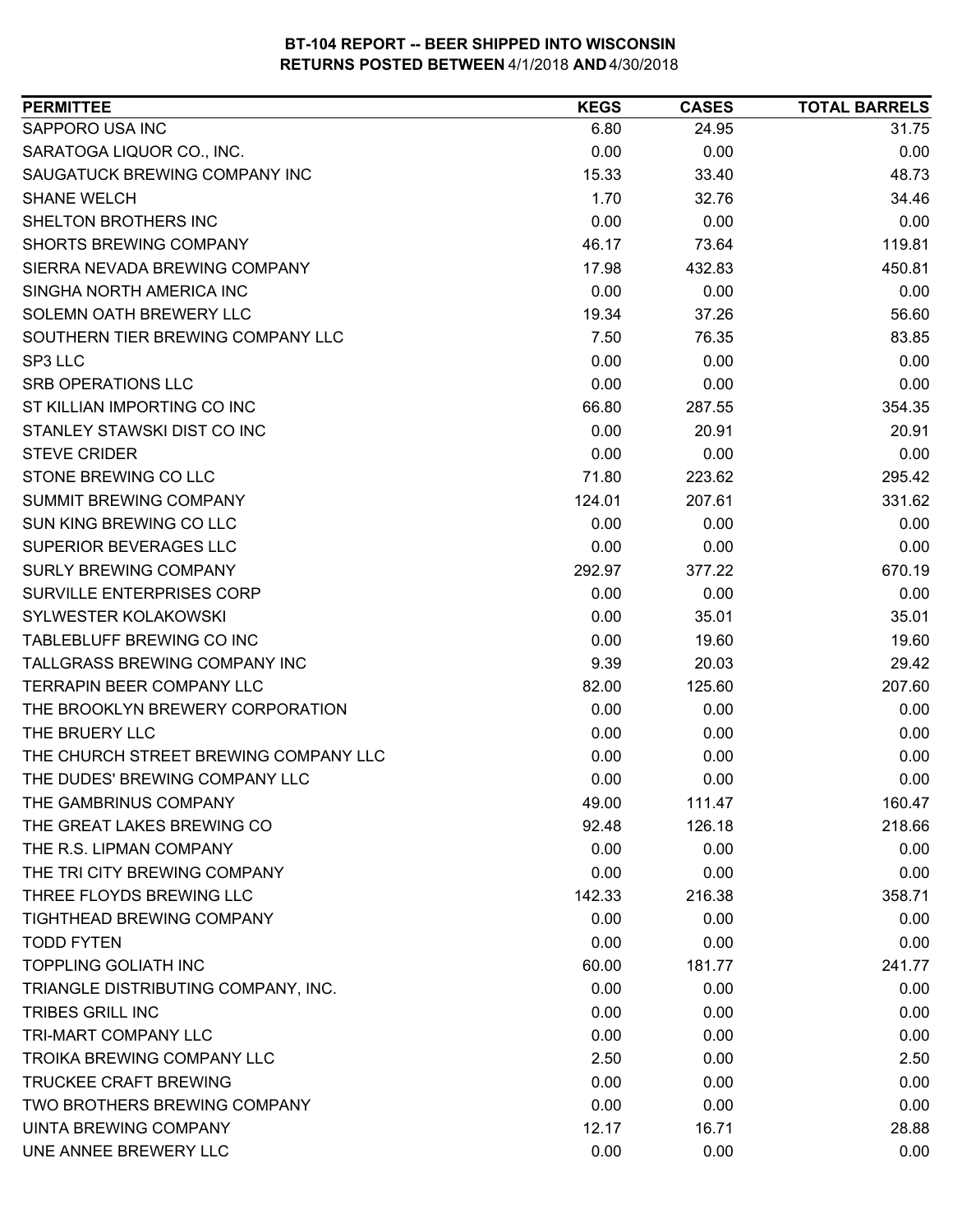| SAPPORO USA INC<br>6.80<br>31.75<br>24.95<br>SARATOGA LIQUOR CO., INC.<br>0.00<br>0.00<br>0.00<br>SAUGATUCK BREWING COMPANY INC<br>48.73<br>15.33<br>33.40<br>1.70<br><b>SHANE WELCH</b><br>32.76<br>34.46<br>SHELTON BROTHERS INC<br>0.00<br>0.00<br>0.00<br><b>SHORTS BREWING COMPANY</b><br>119.81<br>46.17<br>73.64<br>SIERRA NEVADA BREWING COMPANY<br>432.83<br>450.81<br>17.98<br>SINGHA NORTH AMERICA INC<br>0.00<br>0.00<br>0.00<br>SOLEMN OATH BREWERY LLC<br>19.34<br>37.26<br>56.60<br>SOUTHERN TIER BREWING COMPANY LLC<br>83.85<br>7.50<br>76.35<br>0.00<br>0.00<br>SP3 LLC<br>0.00<br>0.00<br>SRB OPERATIONS LLC<br>0.00<br>0.00<br>ST KILLIAN IMPORTING CO INC<br>354.35<br>66.80<br>287.55<br>STANLEY STAWSKI DIST CO INC<br>0.00<br>20.91<br>20.91<br><b>STEVE CRIDER</b><br>0.00<br>0.00<br>0.00<br>STONE BREWING CO LLC<br>71.80<br>295.42<br>223.62<br>331.62<br><b>SUMMIT BREWING COMPANY</b><br>124.01<br>207.61<br>SUN KING BREWING CO LLC<br>0.00<br>0.00<br>0.00<br>SUPERIOR BEVERAGES LLC<br>0.00<br>0.00<br>0.00<br><b>SURLY BREWING COMPANY</b><br>292.97<br>377.22<br>670.19<br>SURVILLE ENTERPRISES CORP<br>0.00<br>0.00<br>0.00<br>SYLWESTER KOLAKOWSKI<br>0.00<br>35.01<br>35.01<br>TABLEBLUFF BREWING CO INC<br>19.60<br>0.00<br>19.60<br>TALLGRASS BREWING COMPANY INC<br>29.42<br>9.39<br>20.03<br>TERRAPIN BEER COMPANY LLC<br>207.60<br>82.00<br>125.60<br>THE BROOKLYN BREWERY CORPORATION<br>0.00<br>0.00<br>0.00<br>THE BRUERY LLC<br>0.00<br>0.00<br>0.00<br>THE CHURCH STREET BREWING COMPANY LLC<br>0.00<br>0.00<br>0.00<br>THE DUDES' BREWING COMPANY LLC<br>0.00<br>0.00<br>0.00<br>THE GAMBRINUS COMPANY<br>49.00<br>111.47<br>126.18<br>218.66<br>THE GREAT LAKES BREWING CO<br>92.48<br>THE R.S. LIPMAN COMPANY<br>0.00<br>0.00<br>0.00<br>THE TRI CITY BREWING COMPANY<br>0.00<br>0.00<br>0.00<br>THREE FLOYDS BREWING LLC<br>216.38<br>142.33<br>358.71<br>TIGHTHEAD BREWING COMPANY<br>0.00<br>0.00<br>0.00<br><b>TODD FYTEN</b><br>0.00<br>0.00<br>0.00<br><b>TOPPLING GOLIATH INC</b><br>241.77<br>60.00<br>181.77<br>TRIANGLE DISTRIBUTING COMPANY, INC.<br>0.00<br>0.00<br>0.00<br><b>TRIBES GRILL INC</b><br>0.00<br>0.00<br>0.00<br>TRI-MART COMPANY LLC<br>0.00<br>0.00<br>0.00<br>TROIKA BREWING COMPANY LLC<br>2.50<br>0.00<br>2.50<br>0.00<br><b>TRUCKEE CRAFT BREWING</b><br>0.00<br>0.00<br>TWO BROTHERS BREWING COMPANY<br>0.00<br>0.00<br>0.00<br>12.17<br>28.88<br>UINTA BREWING COMPANY<br>16.71<br>UNE ANNEE BREWERY LLC<br>0.00<br>0.00<br>0.00 | <b>PERMITTEE</b> | <b>KEGS</b> | <b>CASES</b> | <b>TOTAL BARRELS</b> |
|-----------------------------------------------------------------------------------------------------------------------------------------------------------------------------------------------------------------------------------------------------------------------------------------------------------------------------------------------------------------------------------------------------------------------------------------------------------------------------------------------------------------------------------------------------------------------------------------------------------------------------------------------------------------------------------------------------------------------------------------------------------------------------------------------------------------------------------------------------------------------------------------------------------------------------------------------------------------------------------------------------------------------------------------------------------------------------------------------------------------------------------------------------------------------------------------------------------------------------------------------------------------------------------------------------------------------------------------------------------------------------------------------------------------------------------------------------------------------------------------------------------------------------------------------------------------------------------------------------------------------------------------------------------------------------------------------------------------------------------------------------------------------------------------------------------------------------------------------------------------------------------------------------------------------------------------------------------------------------------------------------------------------------------------------------------------------------------------------------------------------------------------------------------------------------------------------------------------------------------------------------------------------------------------------------------------------------------------------------------------------------------------------------------------------------------------------------------------------------------------------------------------------|------------------|-------------|--------------|----------------------|
|                                                                                                                                                                                                                                                                                                                                                                                                                                                                                                                                                                                                                                                                                                                                                                                                                                                                                                                                                                                                                                                                                                                                                                                                                                                                                                                                                                                                                                                                                                                                                                                                                                                                                                                                                                                                                                                                                                                                                                                                                                                                                                                                                                                                                                                                                                                                                                                                                                                                                                                       |                  |             |              |                      |
|                                                                                                                                                                                                                                                                                                                                                                                                                                                                                                                                                                                                                                                                                                                                                                                                                                                                                                                                                                                                                                                                                                                                                                                                                                                                                                                                                                                                                                                                                                                                                                                                                                                                                                                                                                                                                                                                                                                                                                                                                                                                                                                                                                                                                                                                                                                                                                                                                                                                                                                       |                  |             |              |                      |
|                                                                                                                                                                                                                                                                                                                                                                                                                                                                                                                                                                                                                                                                                                                                                                                                                                                                                                                                                                                                                                                                                                                                                                                                                                                                                                                                                                                                                                                                                                                                                                                                                                                                                                                                                                                                                                                                                                                                                                                                                                                                                                                                                                                                                                                                                                                                                                                                                                                                                                                       |                  |             |              |                      |
|                                                                                                                                                                                                                                                                                                                                                                                                                                                                                                                                                                                                                                                                                                                                                                                                                                                                                                                                                                                                                                                                                                                                                                                                                                                                                                                                                                                                                                                                                                                                                                                                                                                                                                                                                                                                                                                                                                                                                                                                                                                                                                                                                                                                                                                                                                                                                                                                                                                                                                                       |                  |             |              |                      |
|                                                                                                                                                                                                                                                                                                                                                                                                                                                                                                                                                                                                                                                                                                                                                                                                                                                                                                                                                                                                                                                                                                                                                                                                                                                                                                                                                                                                                                                                                                                                                                                                                                                                                                                                                                                                                                                                                                                                                                                                                                                                                                                                                                                                                                                                                                                                                                                                                                                                                                                       |                  |             |              |                      |
|                                                                                                                                                                                                                                                                                                                                                                                                                                                                                                                                                                                                                                                                                                                                                                                                                                                                                                                                                                                                                                                                                                                                                                                                                                                                                                                                                                                                                                                                                                                                                                                                                                                                                                                                                                                                                                                                                                                                                                                                                                                                                                                                                                                                                                                                                                                                                                                                                                                                                                                       |                  |             |              |                      |
|                                                                                                                                                                                                                                                                                                                                                                                                                                                                                                                                                                                                                                                                                                                                                                                                                                                                                                                                                                                                                                                                                                                                                                                                                                                                                                                                                                                                                                                                                                                                                                                                                                                                                                                                                                                                                                                                                                                                                                                                                                                                                                                                                                                                                                                                                                                                                                                                                                                                                                                       |                  |             |              |                      |
|                                                                                                                                                                                                                                                                                                                                                                                                                                                                                                                                                                                                                                                                                                                                                                                                                                                                                                                                                                                                                                                                                                                                                                                                                                                                                                                                                                                                                                                                                                                                                                                                                                                                                                                                                                                                                                                                                                                                                                                                                                                                                                                                                                                                                                                                                                                                                                                                                                                                                                                       |                  |             |              |                      |
|                                                                                                                                                                                                                                                                                                                                                                                                                                                                                                                                                                                                                                                                                                                                                                                                                                                                                                                                                                                                                                                                                                                                                                                                                                                                                                                                                                                                                                                                                                                                                                                                                                                                                                                                                                                                                                                                                                                                                                                                                                                                                                                                                                                                                                                                                                                                                                                                                                                                                                                       |                  |             |              |                      |
| 160.47                                                                                                                                                                                                                                                                                                                                                                                                                                                                                                                                                                                                                                                                                                                                                                                                                                                                                                                                                                                                                                                                                                                                                                                                                                                                                                                                                                                                                                                                                                                                                                                                                                                                                                                                                                                                                                                                                                                                                                                                                                                                                                                                                                                                                                                                                                                                                                                                                                                                                                                |                  |             |              |                      |
|                                                                                                                                                                                                                                                                                                                                                                                                                                                                                                                                                                                                                                                                                                                                                                                                                                                                                                                                                                                                                                                                                                                                                                                                                                                                                                                                                                                                                                                                                                                                                                                                                                                                                                                                                                                                                                                                                                                                                                                                                                                                                                                                                                                                                                                                                                                                                                                                                                                                                                                       |                  |             |              |                      |
|                                                                                                                                                                                                                                                                                                                                                                                                                                                                                                                                                                                                                                                                                                                                                                                                                                                                                                                                                                                                                                                                                                                                                                                                                                                                                                                                                                                                                                                                                                                                                                                                                                                                                                                                                                                                                                                                                                                                                                                                                                                                                                                                                                                                                                                                                                                                                                                                                                                                                                                       |                  |             |              |                      |
|                                                                                                                                                                                                                                                                                                                                                                                                                                                                                                                                                                                                                                                                                                                                                                                                                                                                                                                                                                                                                                                                                                                                                                                                                                                                                                                                                                                                                                                                                                                                                                                                                                                                                                                                                                                                                                                                                                                                                                                                                                                                                                                                                                                                                                                                                                                                                                                                                                                                                                                       |                  |             |              |                      |
|                                                                                                                                                                                                                                                                                                                                                                                                                                                                                                                                                                                                                                                                                                                                                                                                                                                                                                                                                                                                                                                                                                                                                                                                                                                                                                                                                                                                                                                                                                                                                                                                                                                                                                                                                                                                                                                                                                                                                                                                                                                                                                                                                                                                                                                                                                                                                                                                                                                                                                                       |                  |             |              |                      |
|                                                                                                                                                                                                                                                                                                                                                                                                                                                                                                                                                                                                                                                                                                                                                                                                                                                                                                                                                                                                                                                                                                                                                                                                                                                                                                                                                                                                                                                                                                                                                                                                                                                                                                                                                                                                                                                                                                                                                                                                                                                                                                                                                                                                                                                                                                                                                                                                                                                                                                                       |                  |             |              |                      |
|                                                                                                                                                                                                                                                                                                                                                                                                                                                                                                                                                                                                                                                                                                                                                                                                                                                                                                                                                                                                                                                                                                                                                                                                                                                                                                                                                                                                                                                                                                                                                                                                                                                                                                                                                                                                                                                                                                                                                                                                                                                                                                                                                                                                                                                                                                                                                                                                                                                                                                                       |                  |             |              |                      |
|                                                                                                                                                                                                                                                                                                                                                                                                                                                                                                                                                                                                                                                                                                                                                                                                                                                                                                                                                                                                                                                                                                                                                                                                                                                                                                                                                                                                                                                                                                                                                                                                                                                                                                                                                                                                                                                                                                                                                                                                                                                                                                                                                                                                                                                                                                                                                                                                                                                                                                                       |                  |             |              |                      |
|                                                                                                                                                                                                                                                                                                                                                                                                                                                                                                                                                                                                                                                                                                                                                                                                                                                                                                                                                                                                                                                                                                                                                                                                                                                                                                                                                                                                                                                                                                                                                                                                                                                                                                                                                                                                                                                                                                                                                                                                                                                                                                                                                                                                                                                                                                                                                                                                                                                                                                                       |                  |             |              |                      |
|                                                                                                                                                                                                                                                                                                                                                                                                                                                                                                                                                                                                                                                                                                                                                                                                                                                                                                                                                                                                                                                                                                                                                                                                                                                                                                                                                                                                                                                                                                                                                                                                                                                                                                                                                                                                                                                                                                                                                                                                                                                                                                                                                                                                                                                                                                                                                                                                                                                                                                                       |                  |             |              |                      |
|                                                                                                                                                                                                                                                                                                                                                                                                                                                                                                                                                                                                                                                                                                                                                                                                                                                                                                                                                                                                                                                                                                                                                                                                                                                                                                                                                                                                                                                                                                                                                                                                                                                                                                                                                                                                                                                                                                                                                                                                                                                                                                                                                                                                                                                                                                                                                                                                                                                                                                                       |                  |             |              |                      |
|                                                                                                                                                                                                                                                                                                                                                                                                                                                                                                                                                                                                                                                                                                                                                                                                                                                                                                                                                                                                                                                                                                                                                                                                                                                                                                                                                                                                                                                                                                                                                                                                                                                                                                                                                                                                                                                                                                                                                                                                                                                                                                                                                                                                                                                                                                                                                                                                                                                                                                                       |                  |             |              |                      |
|                                                                                                                                                                                                                                                                                                                                                                                                                                                                                                                                                                                                                                                                                                                                                                                                                                                                                                                                                                                                                                                                                                                                                                                                                                                                                                                                                                                                                                                                                                                                                                                                                                                                                                                                                                                                                                                                                                                                                                                                                                                                                                                                                                                                                                                                                                                                                                                                                                                                                                                       |                  |             |              |                      |
|                                                                                                                                                                                                                                                                                                                                                                                                                                                                                                                                                                                                                                                                                                                                                                                                                                                                                                                                                                                                                                                                                                                                                                                                                                                                                                                                                                                                                                                                                                                                                                                                                                                                                                                                                                                                                                                                                                                                                                                                                                                                                                                                                                                                                                                                                                                                                                                                                                                                                                                       |                  |             |              |                      |
|                                                                                                                                                                                                                                                                                                                                                                                                                                                                                                                                                                                                                                                                                                                                                                                                                                                                                                                                                                                                                                                                                                                                                                                                                                                                                                                                                                                                                                                                                                                                                                                                                                                                                                                                                                                                                                                                                                                                                                                                                                                                                                                                                                                                                                                                                                                                                                                                                                                                                                                       |                  |             |              |                      |
|                                                                                                                                                                                                                                                                                                                                                                                                                                                                                                                                                                                                                                                                                                                                                                                                                                                                                                                                                                                                                                                                                                                                                                                                                                                                                                                                                                                                                                                                                                                                                                                                                                                                                                                                                                                                                                                                                                                                                                                                                                                                                                                                                                                                                                                                                                                                                                                                                                                                                                                       |                  |             |              |                      |
|                                                                                                                                                                                                                                                                                                                                                                                                                                                                                                                                                                                                                                                                                                                                                                                                                                                                                                                                                                                                                                                                                                                                                                                                                                                                                                                                                                                                                                                                                                                                                                                                                                                                                                                                                                                                                                                                                                                                                                                                                                                                                                                                                                                                                                                                                                                                                                                                                                                                                                                       |                  |             |              |                      |
|                                                                                                                                                                                                                                                                                                                                                                                                                                                                                                                                                                                                                                                                                                                                                                                                                                                                                                                                                                                                                                                                                                                                                                                                                                                                                                                                                                                                                                                                                                                                                                                                                                                                                                                                                                                                                                                                                                                                                                                                                                                                                                                                                                                                                                                                                                                                                                                                                                                                                                                       |                  |             |              |                      |
|                                                                                                                                                                                                                                                                                                                                                                                                                                                                                                                                                                                                                                                                                                                                                                                                                                                                                                                                                                                                                                                                                                                                                                                                                                                                                                                                                                                                                                                                                                                                                                                                                                                                                                                                                                                                                                                                                                                                                                                                                                                                                                                                                                                                                                                                                                                                                                                                                                                                                                                       |                  |             |              |                      |
|                                                                                                                                                                                                                                                                                                                                                                                                                                                                                                                                                                                                                                                                                                                                                                                                                                                                                                                                                                                                                                                                                                                                                                                                                                                                                                                                                                                                                                                                                                                                                                                                                                                                                                                                                                                                                                                                                                                                                                                                                                                                                                                                                                                                                                                                                                                                                                                                                                                                                                                       |                  |             |              |                      |
|                                                                                                                                                                                                                                                                                                                                                                                                                                                                                                                                                                                                                                                                                                                                                                                                                                                                                                                                                                                                                                                                                                                                                                                                                                                                                                                                                                                                                                                                                                                                                                                                                                                                                                                                                                                                                                                                                                                                                                                                                                                                                                                                                                                                                                                                                                                                                                                                                                                                                                                       |                  |             |              |                      |
|                                                                                                                                                                                                                                                                                                                                                                                                                                                                                                                                                                                                                                                                                                                                                                                                                                                                                                                                                                                                                                                                                                                                                                                                                                                                                                                                                                                                                                                                                                                                                                                                                                                                                                                                                                                                                                                                                                                                                                                                                                                                                                                                                                                                                                                                                                                                                                                                                                                                                                                       |                  |             |              |                      |
|                                                                                                                                                                                                                                                                                                                                                                                                                                                                                                                                                                                                                                                                                                                                                                                                                                                                                                                                                                                                                                                                                                                                                                                                                                                                                                                                                                                                                                                                                                                                                                                                                                                                                                                                                                                                                                                                                                                                                                                                                                                                                                                                                                                                                                                                                                                                                                                                                                                                                                                       |                  |             |              |                      |
|                                                                                                                                                                                                                                                                                                                                                                                                                                                                                                                                                                                                                                                                                                                                                                                                                                                                                                                                                                                                                                                                                                                                                                                                                                                                                                                                                                                                                                                                                                                                                                                                                                                                                                                                                                                                                                                                                                                                                                                                                                                                                                                                                                                                                                                                                                                                                                                                                                                                                                                       |                  |             |              |                      |
|                                                                                                                                                                                                                                                                                                                                                                                                                                                                                                                                                                                                                                                                                                                                                                                                                                                                                                                                                                                                                                                                                                                                                                                                                                                                                                                                                                                                                                                                                                                                                                                                                                                                                                                                                                                                                                                                                                                                                                                                                                                                                                                                                                                                                                                                                                                                                                                                                                                                                                                       |                  |             |              |                      |
|                                                                                                                                                                                                                                                                                                                                                                                                                                                                                                                                                                                                                                                                                                                                                                                                                                                                                                                                                                                                                                                                                                                                                                                                                                                                                                                                                                                                                                                                                                                                                                                                                                                                                                                                                                                                                                                                                                                                                                                                                                                                                                                                                                                                                                                                                                                                                                                                                                                                                                                       |                  |             |              |                      |
|                                                                                                                                                                                                                                                                                                                                                                                                                                                                                                                                                                                                                                                                                                                                                                                                                                                                                                                                                                                                                                                                                                                                                                                                                                                                                                                                                                                                                                                                                                                                                                                                                                                                                                                                                                                                                                                                                                                                                                                                                                                                                                                                                                                                                                                                                                                                                                                                                                                                                                                       |                  |             |              |                      |
|                                                                                                                                                                                                                                                                                                                                                                                                                                                                                                                                                                                                                                                                                                                                                                                                                                                                                                                                                                                                                                                                                                                                                                                                                                                                                                                                                                                                                                                                                                                                                                                                                                                                                                                                                                                                                                                                                                                                                                                                                                                                                                                                                                                                                                                                                                                                                                                                                                                                                                                       |                  |             |              |                      |
|                                                                                                                                                                                                                                                                                                                                                                                                                                                                                                                                                                                                                                                                                                                                                                                                                                                                                                                                                                                                                                                                                                                                                                                                                                                                                                                                                                                                                                                                                                                                                                                                                                                                                                                                                                                                                                                                                                                                                                                                                                                                                                                                                                                                                                                                                                                                                                                                                                                                                                                       |                  |             |              |                      |
|                                                                                                                                                                                                                                                                                                                                                                                                                                                                                                                                                                                                                                                                                                                                                                                                                                                                                                                                                                                                                                                                                                                                                                                                                                                                                                                                                                                                                                                                                                                                                                                                                                                                                                                                                                                                                                                                                                                                                                                                                                                                                                                                                                                                                                                                                                                                                                                                                                                                                                                       |                  |             |              |                      |
|                                                                                                                                                                                                                                                                                                                                                                                                                                                                                                                                                                                                                                                                                                                                                                                                                                                                                                                                                                                                                                                                                                                                                                                                                                                                                                                                                                                                                                                                                                                                                                                                                                                                                                                                                                                                                                                                                                                                                                                                                                                                                                                                                                                                                                                                                                                                                                                                                                                                                                                       |                  |             |              |                      |
|                                                                                                                                                                                                                                                                                                                                                                                                                                                                                                                                                                                                                                                                                                                                                                                                                                                                                                                                                                                                                                                                                                                                                                                                                                                                                                                                                                                                                                                                                                                                                                                                                                                                                                                                                                                                                                                                                                                                                                                                                                                                                                                                                                                                                                                                                                                                                                                                                                                                                                                       |                  |             |              |                      |
|                                                                                                                                                                                                                                                                                                                                                                                                                                                                                                                                                                                                                                                                                                                                                                                                                                                                                                                                                                                                                                                                                                                                                                                                                                                                                                                                                                                                                                                                                                                                                                                                                                                                                                                                                                                                                                                                                                                                                                                                                                                                                                                                                                                                                                                                                                                                                                                                                                                                                                                       |                  |             |              |                      |
|                                                                                                                                                                                                                                                                                                                                                                                                                                                                                                                                                                                                                                                                                                                                                                                                                                                                                                                                                                                                                                                                                                                                                                                                                                                                                                                                                                                                                                                                                                                                                                                                                                                                                                                                                                                                                                                                                                                                                                                                                                                                                                                                                                                                                                                                                                                                                                                                                                                                                                                       |                  |             |              |                      |
|                                                                                                                                                                                                                                                                                                                                                                                                                                                                                                                                                                                                                                                                                                                                                                                                                                                                                                                                                                                                                                                                                                                                                                                                                                                                                                                                                                                                                                                                                                                                                                                                                                                                                                                                                                                                                                                                                                                                                                                                                                                                                                                                                                                                                                                                                                                                                                                                                                                                                                                       |                  |             |              |                      |
|                                                                                                                                                                                                                                                                                                                                                                                                                                                                                                                                                                                                                                                                                                                                                                                                                                                                                                                                                                                                                                                                                                                                                                                                                                                                                                                                                                                                                                                                                                                                                                                                                                                                                                                                                                                                                                                                                                                                                                                                                                                                                                                                                                                                                                                                                                                                                                                                                                                                                                                       |                  |             |              |                      |